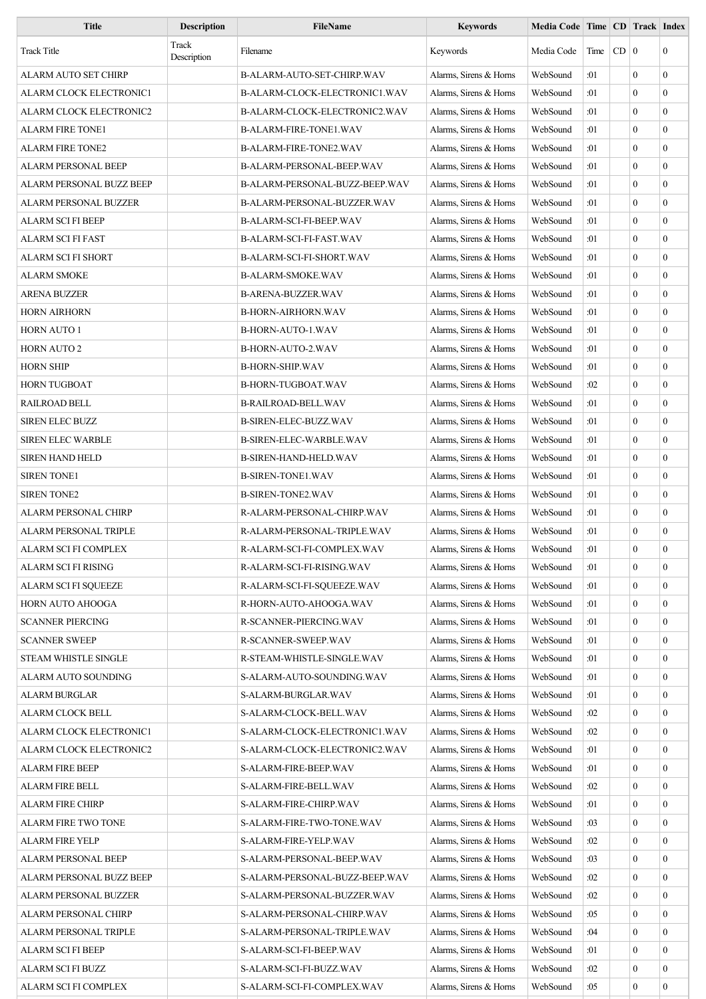| <b>Title</b>                 | <b>Description</b>   | <b>FileName</b>                | <b>Keywords</b>        | Media Code   Time   CD   Track   Index |       |             |                  |                  |
|------------------------------|----------------------|--------------------------------|------------------------|----------------------------------------|-------|-------------|------------------|------------------|
| <b>Track Title</b>           | Track<br>Description | Filename                       | Keywords               | Media Code                             | Time  | $CD \mid 0$ |                  | $\overline{0}$   |
| ALARM AUTO SET CHIRP         |                      | B-ALARM-AUTO-SET-CHIRP.WAV     | Alarms, Sirens & Horns | WebSound                               | :01   |             | $\theta$         | $\mathbf{0}$     |
| ALARM CLOCK ELECTRONIC1      |                      | B-ALARM-CLOCK-ELECTRONIC1.WAV  | Alarms, Sirens & Horns | WebSound                               | :01   |             | $\overline{0}$   | $\overline{0}$   |
| ALARM CLOCK ELECTRONIC2      |                      | B-ALARM-CLOCK-ELECTRONIC2.WAV  | Alarms, Sirens & Horns | WebSound                               | :01   |             | $\theta$         | $\overline{0}$   |
| ALARM FIRE TONE1             |                      | <b>B-ALARM-FIRE-TONE1.WAV</b>  | Alarms, Sirens & Horns | WebSound                               | :01   |             | $\theta$         | $\mathbf{0}$     |
| <b>ALARM FIRE TONE2</b>      |                      | B-ALARM-FIRE-TONE2.WAV         | Alarms, Sirens & Horns | WebSound                               | :01   |             | $\overline{0}$   | $\mathbf{0}$     |
| ALARM PERSONAL BEEP          |                      | B-ALARM-PERSONAL-BEEP.WAV      | Alarms, Sirens & Horns | WebSound                               | :01   |             | $\mathbf{0}$     | $\mathbf{0}$     |
| ALARM PERSONAL BUZZ BEEP     |                      | B-ALARM-PERSONAL-BUZZ-BEEP.WAV | Alarms, Sirens & Horns | WebSound                               | :01   |             | $\mathbf{0}$     | $\overline{0}$   |
| <b>ALARM PERSONAL BUZZER</b> |                      | B-ALARM-PERSONAL-BUZZER.WAV    | Alarms, Sirens & Horns | WebSound                               | :01   |             | $\theta$         | $\boldsymbol{0}$ |
| ALARM SCI FI BEEP            |                      | B-ALARM-SCI-FI-BEEP.WAV        | Alarms, Sirens & Horns | WebSound                               | :01   |             | $\overline{0}$   | $\mathbf{0}$     |
| ALARM SCI FI FAST            |                      | B-ALARM-SCI-FI-FAST.WAV        | Alarms, Sirens & Horns | WebSound                               | :01   |             | $\theta$         | $\boldsymbol{0}$ |
| ALARM SCI FI SHORT           |                      | B-ALARM-SCI-FI-SHORT.WAV       | Alarms, Sirens & Horns | WebSound                               | :01   |             | $\mathbf{0}$     | $\mathbf{0}$     |
| ALARM SMOKE                  |                      | <b>B-ALARM-SMOKE.WAV</b>       | Alarms, Sirens & Horns | WebSound                               | :01   |             | $\overline{0}$   | $\overline{0}$   |
| <b>ARENA BUZZER</b>          |                      | B-ARENA-BUZZER.WAV             | Alarms, Sirens & Horns | WebSound                               | :01   |             | $\mathbf{0}$     | $\mathbf{0}$     |
| <b>HORN AIRHORN</b>          |                      | <b>B-HORN-AIRHORN.WAV</b>      | Alarms, Sirens & Horns | WebSound                               | :01   |             | $\mathbf{0}$     | $\overline{0}$   |
| <b>HORN AUTO 1</b>           |                      | B-HORN-AUTO-1.WAV              | Alarms, Sirens & Horns | WebSound                               | :01   |             | $\theta$         | $\overline{0}$   |
| <b>HORN AUTO 2</b>           |                      | <b>B-HORN-AUTO-2.WAV</b>       | Alarms, Sirens & Horns | WebSound                               | :01   |             | $\mathbf{0}$     | $\overline{0}$   |
| HORN SHIP                    |                      | <b>B-HORN-SHIP.WAV</b>         | Alarms, Sirens & Horns | WebSound                               | :01   |             | $\theta$         | $\mathbf{0}$     |
| HORN TUGBOAT                 |                      | B-HORN-TUGBOAT.WAV             | Alarms, Sirens & Horns | WebSound                               | :02   |             | $\mathbf{0}$     | $\boldsymbol{0}$ |
| <b>RAILROAD BELL</b>         |                      | <b>B-RAILROAD-BELL.WAV</b>     | Alarms, Sirens & Horns | WebSound                               | :01   |             | $\overline{0}$   | $\overline{0}$   |
| <b>SIREN ELEC BUZZ</b>       |                      | B-SIREN-ELEC-BUZZ.WAV          | Alarms, Sirens & Horns | WebSound                               | :01   |             | $\theta$         | $\mathbf{0}$     |
| <b>SIREN ELEC WARBLE</b>     |                      | B-SIREN-ELEC-WARBLE.WAV        | Alarms, Sirens & Horns | WebSound                               | :01   |             | $\mathbf{0}$     | $\boldsymbol{0}$ |
| <b>SIREN HAND HELD</b>       |                      | <b>B-SIREN-HAND-HELD.WAV</b>   | Alarms, Sirens & Horns | WebSound                               | :01   |             | $\mathbf{0}$     | $\boldsymbol{0}$ |
| <b>SIREN TONE1</b>           |                      | <b>B-SIREN-TONE1.WAV</b>       | Alarms, Sirens & Horns | WebSound                               | :01   |             | $\mathbf{0}$     | $\overline{0}$   |
| <b>SIREN TONE2</b>           |                      | <b>B-SIREN-TONE2.WAV</b>       | Alarms, Sirens & Horns | WebSound                               | :01   |             | $\theta$         | $\overline{0}$   |
| ALARM PERSONAL CHIRP         |                      | R-ALARM-PERSONAL-CHIRP.WAV     | Alarms, Sirens & Horns | WebSound                               | :01   |             | $\mathbf{0}$     | $\boldsymbol{0}$ |
| <b>ALARM PERSONAL TRIPLE</b> |                      | R-ALARM-PERSONAL-TRIPLE.WAV    | Alarms, Sirens & Horns | WebSound                               | :01   |             | $\overline{0}$   | $\mathbf{0}$     |
| ALARM SCI FI COMPLEX         |                      | R-ALARM-SCI-FI-COMPLEX.WAV     | Alarms, Sirens & Horns | WebSound                               | $:01$ |             | $\boldsymbol{0}$ | $\boldsymbol{0}$ |
| ALARM SCI FI RISING          |                      | R-ALARM-SCI-FI-RISING.WAV      | Alarms, Sirens & Horns | WebSound                               | :01   |             | $\mathbf{0}$     | $\mathbf{0}$     |
| ALARM SCI FI SQUEEZE         |                      | R-ALARM-SCI-FI-SOUEEZE.WAV     | Alarms, Sirens & Horns | WebSound                               | :01   |             | $\overline{0}$   | $\boldsymbol{0}$ |
| HORN AUTO AHOOGA             |                      | R-HORN-AUTO-AHOOGA.WAV         | Alarms, Sirens & Horns | WebSound                               | :01   |             | $\boldsymbol{0}$ | $\overline{0}$   |
| <b>SCANNER PIERCING</b>      |                      | R-SCANNER-PIERCING.WAV         | Alarms, Sirens & Horns | WebSound                               | :01   |             | $\mathbf{0}$     | $\mathbf{0}$     |
| <b>SCANNER SWEEP</b>         |                      | R-SCANNER-SWEEP.WAV            | Alarms, Sirens & Horns | WebSound                               | :01   |             | $\boldsymbol{0}$ | $\mathbf{0}$     |
| <b>STEAM WHISTLE SINGLE</b>  |                      | R-STEAM-WHISTLE-SINGLE.WAV     | Alarms, Sirens & Horns | WebSound                               | :01   |             | $\mathbf{0}$     | $\mathbf{0}$     |
| ALARM AUTO SOUNDING          |                      | S-ALARM-AUTO-SOUNDING.WAV      | Alarms, Sirens & Horns | WebSound                               | :01   |             | $\mathbf{0}$     | $\mathbf{0}$     |
| ALARM BURGLAR                |                      | S-ALARM-BURGLAR.WAV            | Alarms, Sirens & Horns | WebSound                               | :01   |             | $\mathbf{0}$     | $\mathbf{0}$     |
| ALARM CLOCK BELL             |                      | S-ALARM-CLOCK-BELL.WAV         | Alarms, Sirens & Horns | WebSound                               | :02   |             | $\mathbf{0}$     | $\boldsymbol{0}$ |
| ALARM CLOCK ELECTRONIC1      |                      | S-ALARM-CLOCK-ELECTRONIC1.WAV  | Alarms, Sirens & Horns | WebSound                               | :02   |             | $\boldsymbol{0}$ | $\mathbf{0}$     |
| ALARM CLOCK ELECTRONIC2      |                      | S-ALARM-CLOCK-ELECTRONIC2.WAV  | Alarms, Sirens & Horns | WebSound                               | :01   |             | $\mathbf{0}$     | $\mathbf{0}$     |
| <b>ALARM FIRE BEEP</b>       |                      | S-ALARM-FIRE-BEEP.WAV          | Alarms, Sirens & Horns | WebSound                               | :01   |             | $\boldsymbol{0}$ | $\mathbf{0}$     |
| <b>ALARM FIRE BELL</b>       |                      | S-ALARM-FIRE-BELL.WAV          | Alarms, Sirens & Horns | WebSound                               | :02   |             | $\mathbf{0}$     | $\mathbf{0}$     |
| <b>ALARM FIRE CHIRP</b>      |                      | S-ALARM-FIRE-CHIRP.WAV         | Alarms, Sirens & Horns | WebSound                               | :01   |             | $\mathbf{0}$     | $\mathbf{0}$     |
| ALARM FIRE TWO TONE          |                      | S-ALARM-FIRE-TWO-TONE.WAV      | Alarms, Sirens & Horns | WebSound                               | :03   |             | $\mathbf{0}$     | $\overline{0}$   |
| <b>ALARM FIRE YELP</b>       |                      | S-ALARM-FIRE-YELP.WAV          | Alarms, Sirens & Horns | WebSound                               | :02   |             | $\mathbf{0}$     | $\boldsymbol{0}$ |
| ALARM PERSONAL BEEP          |                      | S-ALARM-PERSONAL-BEEP.WAV      | Alarms, Sirens & Horns | WebSound                               | :03   |             | $\overline{0}$   | $\mathbf{0}$     |
| ALARM PERSONAL BUZZ BEEP     |                      | S-ALARM-PERSONAL-BUZZ-BEEP.WAV | Alarms, Sirens & Horns | WebSound                               | :02   |             | $\overline{0}$   | $\boldsymbol{0}$ |
| ALARM PERSONAL BUZZER        |                      | S-ALARM-PERSONAL-BUZZER.WAV    | Alarms, Sirens & Horns | WebSound                               | :02   |             | $\bf{0}$         | $\overline{0}$   |
| ALARM PERSONAL CHIRP         |                      | S-ALARM-PERSONAL-CHIRP.WAV     | Alarms, Sirens & Horns | WebSound                               | :05   |             | $\overline{0}$   | $\mathbf{0}$     |
| ALARM PERSONAL TRIPLE        |                      | S-ALARM-PERSONAL-TRIPLE.WAV    | Alarms, Sirens & Horns | WebSound                               | :04   |             | $\overline{0}$   | $\mathbf{0}$     |
| ALARM SCI FI BEEP            |                      | S-ALARM-SCI-FI-BEEP.WAV        | Alarms, Sirens & Horns | WebSound                               | :01   |             | $\overline{0}$   | $\mathbf{0}$     |
| ALARM SCI FI BUZZ            |                      | S-ALARM-SCI-FI-BUZZ.WAV        | Alarms, Sirens & Horns | WebSound                               | :02   |             | $\bf{0}$         | $\boldsymbol{0}$ |
| ALARM SCI FI COMPLEX         |                      | S-ALARM-SCI-FI-COMPLEX.WAV     | Alarms, Sirens & Horns | WebSound                               | :05   |             | $\boldsymbol{0}$ | $\boldsymbol{0}$ |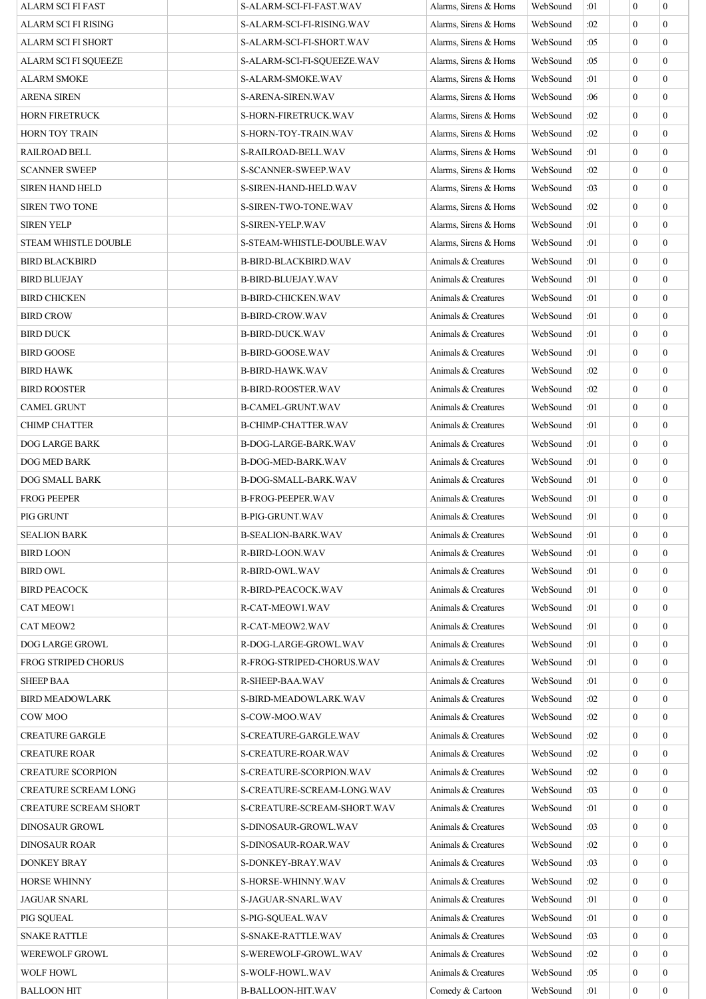| <b>ALARM SCI FI FAST</b>     | S-ALARM-SCI-FI-FAST.WAV                  | Alarms, Sirens & Horns | WebSound             | :01        | $\mathbf{0}$     | $\mathbf{0}$     |
|------------------------------|------------------------------------------|------------------------|----------------------|------------|------------------|------------------|
| ALARM SCI FI RISING          | S-ALARM-SCI-FI-RISING.WAV                | Alarms, Sirens & Horns | WebSound             | :02        | $\theta$         | $\mathbf{0}$     |
| ALARM SCI FI SHORT           | S-ALARM-SCI-FI-SHORT.WAV                 | Alarms, Sirens & Horns | WebSound             | :05        | $\theta$         | $\mathbf{0}$     |
| ALARM SCI FI SQUEEZE         | S-ALARM-SCI-FI-SQUEEZE.WAV               | Alarms, Sirens & Horns | WebSound             | :05        | $\mathbf{0}$     | $\mathbf{0}$     |
| ALARM SMOKE                  | S-ALARM-SMOKE.WAV                        | Alarms, Sirens & Horns | WebSound             | :01        | $\mathbf{0}$     | $\mathbf{0}$     |
| ARENA SIREN                  | S-ARENA-SIREN.WAV                        | Alarms, Sirens & Horns | WebSound             | :06        | $\mathbf{0}$     | $\overline{0}$   |
| <b>HORN FIRETRUCK</b>        | S-HORN-FIRETRUCK.WAV                     | Alarms, Sirens & Horns | WebSound             | :02        | $\theta$         | $\mathbf{0}$     |
| HORN TOY TRAIN               | S-HORN-TOY-TRAIN.WAV                     | Alarms, Sirens & Horns | WebSound             | :02        | $\mathbf{0}$     | $\boldsymbol{0}$ |
| RAILROAD BELL                | S-RAILROAD-BELL.WAV                      | Alarms, Sirens & Horns | WebSound             | :01        | $\mathbf{0}$     | $\mathbf{0}$     |
| <b>SCANNER SWEEP</b>         | S-SCANNER-SWEEP.WAV                      | Alarms, Sirens & Horns | WebSound             | :02        | $\mathbf{0}$     | $\boldsymbol{0}$ |
| <b>SIREN HAND HELD</b>       | S-SIREN-HAND-HELD.WAV                    | Alarms, Sirens & Horns | WebSound             | :03        | $\mathbf{0}$     | $\overline{0}$   |
| <b>SIREN TWO TONE</b>        | S-SIREN-TWO-TONE.WAV                     | Alarms, Sirens & Horns | WebSound             | :02        | $\mathbf{0}$     | $\mathbf{0}$     |
| <b>SIREN YELP</b>            | S-SIREN-YELP.WAV                         | Alarms, Sirens & Horns | WebSound             | :01        | $\mathbf{0}$     | $\mathbf{0}$     |
| <b>STEAM WHISTLE DOUBLE</b>  | S-STEAM-WHISTLE-DOUBLE.WAV               | Alarms, Sirens & Horns | WebSound             | :01        | $\theta$         | $\mathbf{0}$     |
| <b>BIRD BLACKBIRD</b>        | B-BIRD-BLACKBIRD.WAV                     | Animals & Creatures    | WebSound             | :01        | $\mathbf{0}$     | $\overline{0}$   |
| <b>BIRD BLUEJAY</b>          | <b>B-BIRD-BLUEJAY.WAV</b>                | Animals & Creatures    | WebSound             | :01        | $\theta$         | $\mathbf{0}$     |
| BIRD CHICKEN                 | <b>B-BIRD-CHICKEN.WAV</b>                | Animals & Creatures    | WebSound             | :01        | $\mathbf{0}$     | $\boldsymbol{0}$ |
| <b>BIRD CROW</b>             | <b>B-BIRD-CROW.WAV</b>                   | Animals & Creatures    | WebSound             | :01        | $\mathbf{0}$     | $\overline{0}$   |
| BIRD DUCK                    | <b>B-BIRD-DUCK.WAV</b>                   | Animals & Creatures    | WebSound             | :01        | $\theta$         | $\mathbf{0}$     |
| BIRD GOOSE                   | B-BIRD-GOOSE.WAV                         | Animals & Creatures    | WebSound             | :01        | $\mathbf{0}$     | $\boldsymbol{0}$ |
| BIRD HAWK                    | <b>B-BIRD-HAWK.WAV</b>                   | Animals & Creatures    | WebSound             | :02        | $\mathbf{0}$     | $\boldsymbol{0}$ |
| <b>BIRD ROOSTER</b>          | <b>B-BIRD-ROOSTER.WAV</b>                | Animals & Creatures    | WebSound             | :02        | $\mathbf{0}$     | $\overline{0}$   |
| <b>CAMEL GRUNT</b>           | <b>B-CAMEL-GRUNT.WAV</b>                 | Animals & Creatures    | WebSound             | :01        | $\theta$         | $\mathbf{0}$     |
| <b>CHIMP CHATTER</b>         | <b>B-CHIMP-CHATTER.WAV</b>               | Animals & Creatures    | WebSound             | :01        | $\mathbf{0}$     | $\boldsymbol{0}$ |
| DOG LARGE BARK               | B-DOG-LARGE-BARK.WAV                     | Animals & Creatures    | WebSound             | :01        | $\mathbf{0}$     | $\mathbf{0}$     |
| DOG MED BARK                 | B-DOG-MED-BARK.WAV                       | Animals & Creatures    | WebSound             | :01        | $\mathbf{0}$     | $\mathbf{0}$     |
| DOG SMALL BARK               | B-DOG-SMALL-BARK.WAV                     | Animals & Creatures    | WebSound             | :01        | $\theta$         | $\overline{0}$   |
| FROG PEEPER                  | B-FROG-PEEPER.WAV                        | Animals & Creatures    | WebSound             | :01        | $\theta$         | $\boldsymbol{0}$ |
| PIG GRUNT                    | <b>B-PIG-GRUNT.WAV</b>                   | Animals & Creatures    | WebSound             | :01        | $\boldsymbol{0}$ | $\boldsymbol{0}$ |
| <b>SEALION BARK</b>          | <b>B-SEALION-BARK.WAV</b>                | Animals & Creatures    | WebSound             | :01        | $\boldsymbol{0}$ | $\boldsymbol{0}$ |
| <b>BIRD LOON</b>             | R-BIRD-LOON.WAV                          | Animals & Creatures    | WebSound             | :01        | $\theta$         | $\overline{0}$   |
| <b>BIRD OWL</b>              | R-BIRD-OWL.WAV                           | Animals & Creatures    | WebSound             | :01        | $\theta$         | $\overline{0}$   |
| <b>BIRD PEACOCK</b>          | R-BIRD-PEACOCK.WAV                       | Animals & Creatures    | WebSound             | :01        | $\mathbf{0}$     | $\overline{0}$   |
| <b>CAT MEOW1</b>             | R-CAT-MEOW1.WAV                          | Animals & Creatures    | WebSound             | :01        | $\mathbf{0}$     | $\overline{0}$   |
| <b>CAT MEOW2</b>             | R-CAT-MEOW2.WAV                          | Animals & Creatures    | WebSound             | :01        | $\theta$         | $\overline{0}$   |
| DOG LARGE GROWL              | R-DOG-LARGE-GROWL.WAV                    | Animals & Creatures    | WebSound             | :01        | $\mathbf{0}$     | $\mathbf{0}$     |
| FROG STRIPED CHORUS          | R-FROG-STRIPED-CHORUS.WAV                | Animals & Creatures    | WebSound             | :01        | $\mathbf{0}$     | $\overline{0}$   |
| <b>SHEEP BAA</b>             | R-SHEEP-BAA.WAV                          | Animals & Creatures    | WebSound             | :01        | $\mathbf{0}$     | $\overline{0}$   |
| <b>BIRD MEADOWLARK</b>       | S-BIRD-MEADOWLARK.WAV                    | Animals & Creatures    | WebSound             | :02        | $\theta$         | $\overline{0}$   |
| COW MOO                      | S-COW-MOO.WAV                            | Animals & Creatures    | WebSound             | :02        | $\mathbf{0}$     | $\overline{0}$   |
| <b>CREATURE GARGLE</b>       | S-CREATURE-GARGLE.WAV                    | Animals & Creatures    | WebSound             | :02        | $\mathbf{0}$     | $\overline{0}$   |
| <b>CREATURE ROAR</b>         | S-CREATURE-ROAR.WAV                      | Animals & Creatures    | WebSound             | :02        | $\mathbf{0}$     | $\mathbf{0}$     |
| <b>CREATURE SCORPION</b>     | S-CREATURE-SCORPION.WAV                  | Animals & Creatures    | WebSound             | :02        | $\theta$         | $\mathbf{0}$     |
| <b>CREATURE SCREAM LONG</b>  | S-CREATURE-SCREAM-LONG.WAV               | Animals & Creatures    | WebSound             | :03        | $\mathbf{0}$     | $\mathbf{0}$     |
| <b>CREATURE SCREAM SHORT</b> | S-CREATURE-SCREAM-SHORT.WAV              | Animals & Creatures    | WebSound             | :01        | $\mathbf{0}$     | $\overline{0}$   |
| <b>DINOSAUR GROWL</b>        | S-DINOSAUR-GROWL.WAV                     | Animals & Creatures    | WebSound             | :03        | $\theta$         | $\overline{0}$   |
| DINOSAUR ROAR                | S-DINOSAUR-ROAR.WAV                      | Animals & Creatures    | WebSound             | :02        | $\mathbf{0}$     | $\overline{0}$   |
| DONKEY BRAY                  | S-DONKEY-BRAY.WAV                        | Animals & Creatures    | WebSound             | :03        | $\theta$         | $\overline{0}$   |
|                              |                                          | Animals & Creatures    |                      |            | $\mathbf{0}$     | $\overline{0}$   |
| HORSE WHINNY<br>JAGUAR SNARL | S-HORSE-WHINNY.WAV<br>S-JAGUAR-SNARL.WAV | Animals & Creatures    | WebSound<br>WebSound | :02<br>:01 | $\theta$         | $\overline{0}$   |
|                              |                                          | Animals & Creatures    |                      |            | $\theta$         | $\overline{0}$   |
| PIG SOUEAL                   | S-PIG-SQUEAL.WAV                         |                        | WebSound             | :01        |                  |                  |
| <b>SNAKE RATTLE</b>          | <b>S-SNAKE-RATTLE WAV</b>                | Animals & Creatures    | WebSound             | :03        | $\mathbf{0}$     | $\mathbf{0}$     |
| <b>WEREWOLF GROWL</b>        | S-WEREWOLF-GROWL.WAV                     | Animals & Creatures    | WebSound             | :02        | $\mathbf{0}$     | $\mathbf{0}$     |
| <b>WOLF HOWL</b>             | S-WOLF-HOWL.WAV                          | Animals & Creatures    | WebSound             | :05        | $\mathbf{0}$     | $\mathbf{0}$     |
| <b>BALLOON HIT</b>           | B-BALLOON-HIT.WAV                        | Comedy & Cartoon       | WebSound             | :01        | $\mathbf{0}$     | $\mathbf{0}$     |

ш.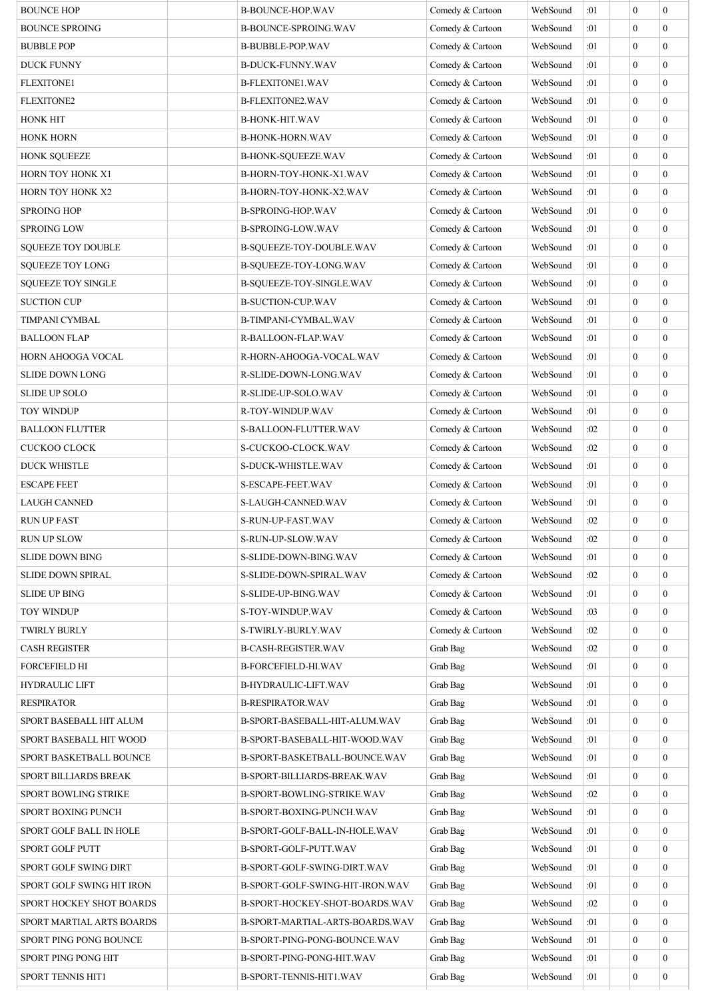| <b>BOUNCE HOP</b>            | <b>B-BOUNCE-HOP.WAV</b>                                  | Comedy & Cartoon | WebSound | :01 | $\overline{0}$                   | $\mathbf{0}$     |
|------------------------------|----------------------------------------------------------|------------------|----------|-----|----------------------------------|------------------|
| <b>BOUNCE SPROING</b>        | B-BOUNCE-SPROING.WAV                                     | Comedy & Cartoon | WebSound | :01 | $\theta$                         | $\theta$         |
| <b>BUBBLE POP</b>            | B-BUBBLE-POP.WAV                                         | Comedy & Cartoon | WebSound | :01 | $\theta$                         | $\mathbf{0}$     |
| <b>DUCK FUNNY</b>            | <b>B-DUCK-FUNNY.WAV</b>                                  | Comedy & Cartoon | WebSound | :01 | $\overline{0}$                   | $\mathbf{0}$     |
| <b>FLEXITONE1</b>            | B-FLEXITONE1.WAV                                         | Comedy & Cartoon | WebSound | :01 | $\theta$                         | $\mathbf{0}$     |
| <b>FLEXITONE2</b>            | B-FLEXITONE2.WAV                                         | Comedy & Cartoon | WebSound | :01 | $\theta$                         | $\theta$         |
| <b>HONK HIT</b>              | <b>B-HONK-HIT.WAV</b>                                    | Comedy & Cartoon | WebSound | :01 | $\overline{0}$                   | $\mathbf{0}$     |
| <b>HONK HORN</b>             | <b>B-HONK-HORN.WAV</b>                                   | Comedy & Cartoon | WebSound | :01 | $\overline{0}$                   | $\mathbf{0}$     |
| <b>HONK SQUEEZE</b>          | B-HONK-SQUEEZE.WAV                                       | Comedy & Cartoon | WebSound | :01 | $\overline{0}$                   | $\mathbf{0}$     |
| HORN TOY HONK X1             | B-HORN-TOY-HONK-X1.WAV                                   | Comedy & Cartoon | WebSound | :01 | $\theta$                         | $\mathbf{0}$     |
| HORN TOY HONK X2             | B-HORN-TOY-HONK-X2.WAV                                   | Comedy & Cartoon | WebSound | :01 | $\overline{0}$                   | $\mathbf{0}$     |
| <b>SPROING HOP</b>           | B-SPROING-HOP.WAV                                        | Comedy & Cartoon | WebSound | :01 | $\overline{0}$                   | $\mathbf{0}$     |
| <b>SPROING LOW</b>           | <b>B-SPROING-LOW.WAV</b>                                 | Comedy & Cartoon | WebSound | :01 | $\overline{0}$                   | $\mathbf{0}$     |
| <b>SQUEEZE TOY DOUBLE</b>    | B-SQUEEZE-TOY-DOUBLE.WAV                                 | Comedy & Cartoon | WebSound | :01 | $\theta$                         | $\mathbf{0}$     |
| <b>SQUEEZE TOY LONG</b>      | B-SQUEEZE-TOY-LONG.WAV                                   | Comedy & Cartoon | WebSound | :01 | $\theta$                         | $\theta$         |
| <b>SQUEEZE TOY SINGLE</b>    | B-SQUEEZE-TOY-SINGLE.WAV                                 | Comedy & Cartoon | WebSound | :01 | $\overline{0}$                   | $\mathbf{0}$     |
| <b>SUCTION CUP</b>           | <b>B-SUCTION-CUP.WAV</b>                                 | Comedy & Cartoon | WebSound | :01 | $\theta$                         | $\mathbf{0}$     |
| TIMPANI CYMBAL               | B-TIMPANI-CYMBAL.WAV                                     | Comedy & Cartoon | WebSound | :01 | $\overline{0}$                   | $\mathbf{0}$     |
| <b>BALLOON FLAP</b>          | R-BALLOON-FLAP.WAV                                       | Comedy & Cartoon | WebSound | :01 | $\theta$                         | $\theta$         |
| HORN AHOOGA VOCAL            | R-HORN-AHOOGA-VOCAL.WAV                                  | Comedy & Cartoon | WebSound | :01 | $\overline{0}$                   | $\mathbf{0}$     |
| <b>SLIDE DOWN LONG</b>       | R-SLIDE-DOWN-LONG.WAV                                    | Comedy & Cartoon | WebSound | :01 | $\overline{0}$                   | $\mathbf{0}$     |
| <b>SLIDE UP SOLO</b>         | R-SLIDE-UP-SOLO.WAV                                      | Comedy & Cartoon | WebSound | :01 | $\theta$                         | $\theta$         |
| <b>TOY WINDUP</b>            | R-TOY-WINDUP.WAV                                         | Comedy & Cartoon | WebSound | :01 | $\overline{0}$                   | $\mathbf{0}$     |
| <b>BALLOON FLUTTER</b>       | S-BALLOON-FLUTTER.WAV                                    | Comedy & Cartoon | WebSound | :02 | $\overline{0}$                   | $\mathbf{0}$     |
| <b>CUCKOO CLOCK</b>          | S-CUCKOO-CLOCK.WAV                                       | Comedy & Cartoon | WebSound | :02 | $\overline{0}$                   | $\mathbf{0}$     |
| <b>DUCK WHISTLE</b>          | S-DUCK-WHISTLE.WAV                                       | Comedy & Cartoon | WebSound | :01 | $\theta$                         | $\theta$         |
| <b>ESCAPE FEET</b>           | S-ESCAPE-FEET.WAV                                        | Comedy & Cartoon | WebSound | :01 | $\overline{0}$                   | $\mathbf{0}$     |
| <b>LAUGH CANNED</b>          | S-LAUGH-CANNED.WAV                                       | Comedy & Cartoon | WebSound | :01 | $\overline{0}$                   | $\mathbf{0}$     |
| <b>RUN UP FAST</b>           | S-RUN-UP-FAST.WAV                                        | Comedy & Cartoon | WebSound | :02 | $\overline{0}$                   | $\mathbf{0}$     |
| <b>RUN UP SLOW</b>           | S-RUN-UP-SLOW.WAV                                        | Comedy & Cartoon | WebSound | :02 | $\boldsymbol{0}$                 | $\boldsymbol{0}$ |
| <b>SLIDE DOWN BING</b>       | S-SLIDE-DOWN-BING.WAV                                    | Comedy & Cartoon | WebSound | :01 | $\Omega$                         | $\theta$         |
| <b>SLIDE DOWN SPIRAL</b>     | S-SLIDE-DOWN-SPIRAL.WAV                                  | Comedy & Cartoon | WebSound | :02 | $\overline{0}$                   | $\mathbf{0}$     |
| <b>SLIDE UP BING</b>         | S-SLIDE-UP-BING.WAV                                      | Comedy & Cartoon | WebSound | :01 | $\theta$                         | $\mathbf{0}$     |
| <b>TOY WINDUP</b>            | S-TOY-WINDUP.WAV                                         | Comedy & Cartoon | WebSound | :03 | $\theta$                         | $\theta$         |
|                              |                                                          | Comedy & Cartoon | WebSound | :02 | $\theta$                         | $\theta$         |
| <b>TWIRLY BURLY</b>          | S-TWIRLY-BURLY.WAV                                       |                  |          | :02 | $\overline{0}$                   | $\theta$         |
| <b>CASH REGISTER</b>         | <b>B-CASH-REGISTER.WAV</b><br><b>B-FORCEFIELD-HI.WAV</b> | Grab Bag         | WebSound | :01 | $\theta$                         | $\mathbf{0}$     |
| <b>FORCEFIELD HI</b>         |                                                          | Grab Bag         | WebSound |     | $\theta$                         | $\theta$         |
| <b>HYDRAULIC LIFT</b>        | B-HYDRAULIC-LIFT.WAV                                     | Grab Bag         | WebSound | :01 |                                  |                  |
| <b>RESPIRATOR</b>            | <b>B-RESPIRATOR.WAV</b>                                  | Grab Bag         | WebSound | :01 | $\overline{0}$<br>$\overline{0}$ | $\mathbf{0}$     |
| SPORT BASEBALL HIT ALUM      | B-SPORT-BASEBALL-HIT-ALUM.WAV                            | Grab Bag         | WebSound | :01 |                                  | $\mathbf{0}$     |
| SPORT BASEBALL HIT WOOD      | B-SPORT-BASEBALL-HIT-WOOD.WAV                            | Grab Bag         | WebSound | :01 | $\theta$                         | $\mathbf{0}$     |
| SPORT BASKETBALL BOUNCE      | B-SPORT-BASKETBALL-BOUNCE.WAV                            | Grab Bag         | WebSound | :01 | $\theta$                         | $\theta$         |
| SPORT BILLIARDS BREAK        | B-SPORT-BILLIARDS-BREAK.WAV                              | Grab Bag         | WebSound | :01 | $\overline{0}$                   | $\theta$         |
| <b>SPORT BOWLING STRIKE</b>  | B-SPORT-BOWLING-STRIKE.WAV                               | Grab Bag         | WebSound | :02 | $\overline{0}$                   | $\mathbf{0}$     |
| <b>SPORT BOXING PUNCH</b>    | B-SPORT-BOXING-PUNCH.WAV                                 | Grab Bag         | WebSound | :01 | $\overline{0}$                   | $\theta$         |
| SPORT GOLF BALL IN HOLE      | B-SPORT-GOLF-BALL-IN-HOLE.WAV                            | Grab Bag         | WebSound | :01 | $\theta$                         | $\theta$         |
| <b>SPORT GOLF PUTT</b>       | B-SPORT-GOLF-PUTT.WAV                                    | Grab Bag         | WebSound | :01 | $\theta$                         | $\theta$         |
| <b>SPORT GOLF SWING DIRT</b> | B-SPORT-GOLF-SWING-DIRT.WAV                              | Grab Bag         | WebSound | :01 | $\overline{0}$                   | $\mathbf{0}$     |
| SPORT GOLF SWING HIT IRON    | B-SPORT-GOLF-SWING-HIT-IRON.WAV                          | Grab Bag         | WebSound | :01 | $\theta$                         | $\theta$         |
| SPORT HOCKEY SHOT BOARDS     | B-SPORT-HOCKEY-SHOT-BOARDS.WAV                           | Grab Bag         | WebSound | :02 | $\theta$                         | $\theta$         |
| SPORT MARTIAL ARTS BOARDS    | B-SPORT-MARTIAL-ARTS-BOARDS.WAV                          | Grab Bag         | WebSound | :01 | $\theta$                         | $\theta$         |
| SPORT PING PONG BOUNCE       | B-SPORT-PING-PONG-BOUNCE.WAV                             | Grab Bag         | WebSound | :01 | $\overline{0}$                   | $\theta$         |
| SPORT PING PONG HIT          | B-SPORT-PING-PONG-HIT.WAV                                | Grab Bag         | WebSound | :01 | $\theta$                         | $\mathbf{0}$     |
| <b>SPORT TENNIS HIT1</b>     | B-SPORT-TENNIS-HIT1.WAV                                  | Grab Bag         | WebSound | :01 | $\overline{0}$                   | $\mathbf{0}$     |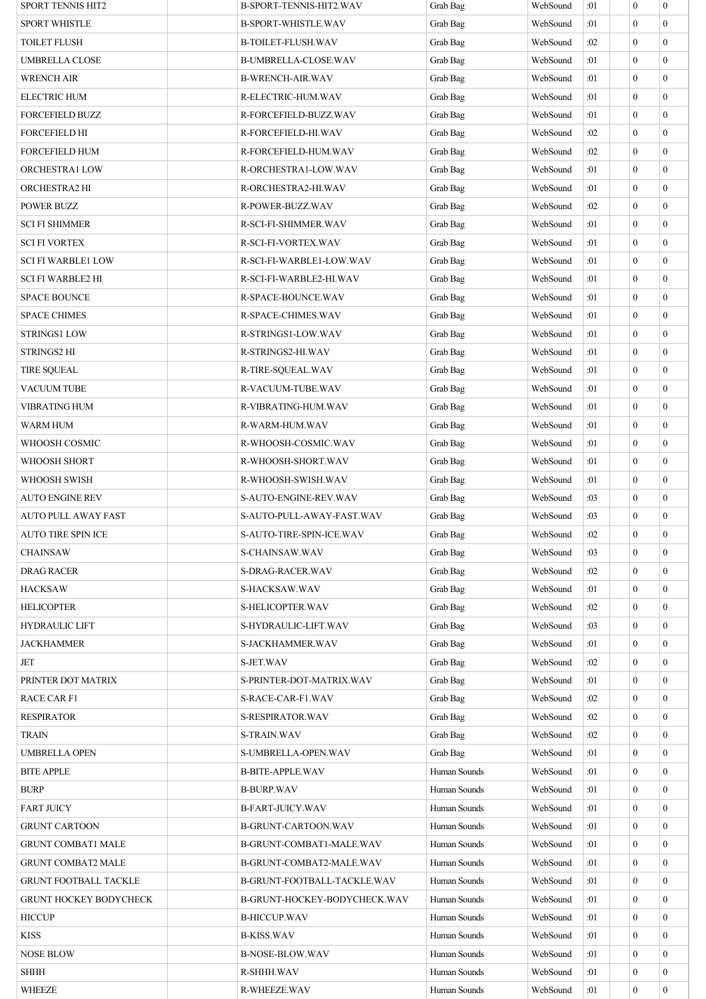| SPORT TENNIS HIT2            | B-SPORT-TENNIS-HIT2.WAV      | Grab Bag     | WebSound | :01 | $\boldsymbol{0}$ | $\mathbf{0}$     |
|------------------------------|------------------------------|--------------|----------|-----|------------------|------------------|
| SPORT WHISTLE                | B-SPORT-WHISTLE.WAV          | Grab Bag     | WebSound | :01 | $\mathbf{0}$     | $\Omega$         |
| TOILET FLUSH                 | B-TOILET-FLUSH.WAV           | Grab Bag     | WebSound | :02 | $\mathbf{0}$     | $\theta$         |
| UMBRELLA CLOSE               | B-UMBRELLA-CLOSE.WAV         | Grab Bag     | WebSound | :01 | $\mathbf{0}$     | $\Omega$         |
| <b>WRENCH AIR</b>            | <b>B-WRENCH-AIR.WAV</b>      | Grab Bag     | WebSound | :01 | $\mathbf{0}$     | $\theta$         |
| <b>ELECTRIC HUM</b>          | R-ELECTRIC-HUM.WAV           | Grab Bag     | WebSound | :01 | $\mathbf{0}$     | $\mathbf{0}$     |
| <b>FORCEFIELD BUZZ</b>       | R-FORCEFIELD-BUZZ.WAV        | Grab Bag     | WebSound | :01 | $\overline{0}$   | $\Omega$         |
| <b>FORCEFIELD HI</b>         | R-FORCEFIELD-HI.WAV          | Grab Bag     | WebSound | :02 | $\mathbf{0}$     | $\overline{0}$   |
| FORCEFIELD HUM               | R-FORCEFIELD-HUM.WAV         | Grab Bag     | WebSound | :02 | $\mathbf{0}$     | $\Omega$         |
| <b>ORCHESTRA1 LOW</b>        | R-ORCHESTRA1-LOW.WAV         | Grab Bag     | WebSound | :01 | $\mathbf{0}$     | $\mathbf{0}$     |
| ORCHESTRA2 HI                | R-ORCHESTRA2-HI.WAV          | Grab Bag     | WebSound | :01 | $\mathbf{0}$     | $\mathbf{0}$     |
| POWER BUZZ                   | R-POWER-BUZZ.WAV             | Grab Bag     | WebSound | :02 | $\mathbf{0}$     | $\theta$         |
| SCI FI SHIMMER               | R-SCI-FI-SHIMMER.WAV         | Grab Bag     | WebSound | :01 | $\mathbf{0}$     | $\mathbf{0}$     |
| <b>SCI FI VORTEX</b>         | R-SCI-FI-VORTEX.WAV          | Grab Bag     | WebSound | :01 | $\mathbf{0}$     | $\mathbf{0}$     |
| <b>SCI FI WARBLE1 LOW</b>    | R-SCI-FI-WARBLE1-LOW.WAV     | Grab Bag     | WebSound | :01 | $\mathbf{0}$     | $\overline{0}$   |
| <b>SCI FI WARBLE2 HI</b>     | R-SCI-FI-WARBLE2-HI.WAV      | Grab Bag     | WebSound | :01 | $\mathbf{0}$     | $\Omega$         |
| <b>SPACE BOUNCE</b>          | R-SPACE-BOUNCE.WAV           | Grab Bag     | WebSound | :01 | $\mathbf{0}$     | $\mathbf{0}$     |
| <b>SPACE CHIMES</b>          | <b>R-SPACE-CHIMES.WAV</b>    | Grab Bag     | WebSound | :01 | $\mathbf{0}$     | $\mathbf{0}$     |
| <b>STRINGS1 LOW</b>          | R-STRINGS1-LOW.WAV           | Grab Bag     | WebSound | :01 | $\mathbf{0}$     | $\theta$         |
| STRINGS2 HI                  | R-STRINGS2-HI.WAV            | Grab Bag     | WebSound | :01 | $\mathbf{0}$     | $\Omega$         |
| <b>TIRE SQUEAL</b>           | R-TIRE-SQUEAL.WAV            | Grab Bag     | WebSound | :01 | $\mathbf{0}$     | $\theta$         |
|                              |                              |              |          |     |                  |                  |
| VACUUM TUBE                  | R-VACUUM-TUBE.WAV            | Grab Bag     | WebSound | :01 | $\boldsymbol{0}$ | $\overline{0}$   |
| VIBRATING HUM                | R-VIBRATING-HUM.WAV          | Grab Bag     | WebSound | :01 | $\overline{0}$   | $\Omega$         |
| WARM HUM                     | R-WARM-HUM.WAV               | Grab Bag     | WebSound | :01 | $\mathbf{0}$     | $\overline{0}$   |
| WHOOSH COSMIC                | R-WHOOSH-COSMIC.WAV          | Grab Bag     | WebSound | :01 | $\mathbf{0}$     | $\mathbf{0}$     |
| WHOOSH SHORT                 | R-WHOOSH-SHORT.WAV           | Grab Bag     | WebSound | :01 | $\mathbf{0}$     | $\mathbf{0}$     |
| WHOOSH SWISH                 | R-WHOOSH-SWISH.WAV           | Grab Bag     | WebSound | :01 | $\mathbf{0}$     | $\mathbf{0}$     |
| AUTO ENGINE REV              | S-AUTO-ENGINE-REV.WAV        | Grab Bag     | WebSound | :03 | $\mathbf{0}$     | $\theta$         |
| AUTO PULL AWAY FAST          | S-AUTO-PULL-AWAY-FAST.WAV    | Grab Bag     | WebSound | :03 | $\mathbf{0}$     | $\boldsymbol{0}$ |
| <b>AUTO TIRE SPIN ICE</b>    | S-AUTO-TIRE-SPIN-ICE.WAV     | Grab Bag     | WebSound | :02 | $\boldsymbol{0}$ | $\boldsymbol{0}$ |
| CHAINSAW                     | <b>S-CHAINSAW.WAV</b>        | Grab Bag     | WebSound | :03 | $\overline{0}$   | $\Omega$         |
| DRAG RACER                   | S-DRAG-RACER.WAV             | Grab Bag     | WebSound | :02 | $\overline{0}$   | $\Omega$         |
| HACKSAW                      | S-HACKSAW.WAV                | Grab Bag     | WebSound | :01 | $\boldsymbol{0}$ | $\mathbf{0}$     |
| <b>HELICOPTER</b>            | S-HELICOPTER.WAV             | Grab Bag     | WebSound | :02 | $\mathbf{0}$     | $\overline{0}$   |
| <b>HYDRAULIC LIFT</b>        | S-HYDRAULIC-LIFT.WAV         | Grab Bag     | WebSound | :03 | $\mathbf{0}$     | $\theta$         |
| <b>JACKHAMMER</b>            | S-JACKHAMMER.WAV             | Grab Bag     | WebSound | :01 | $\mathbf{0}$     | $\Omega$         |
| JET                          | S-JET.WAV                    | Grab Bag     | WebSound | :02 | $\mathbf{0}$     | $\theta$         |
| PRINTER DOT MATRIX           | S-PRINTER-DOT-MATRIX.WAV     | Grab Bag     | WebSound | :01 | $\boldsymbol{0}$ | $\overline{0}$   |
| RACE CAR F1                  | S-RACE-CAR-F1.WAV            | Grab Bag     | WebSound | :02 | $\overline{0}$   | $\Omega$         |
| <b>RESPIRATOR</b>            | S-RESPIRATOR.WAV             | Grab Bag     | WebSound | :02 | $\mathbf{0}$     | $\Omega$         |
| TRAIN                        | S-TRAIN.WAV                  | Grab Bag     | WebSound | :02 | $\mathbf{0}$     | $\Omega$         |
| UMBRELLA OPEN                | S-UMBRELLA-OPEN.WAV          | Grab Bag     | WebSound | :01 | $\mathbf{0}$     | $\mathbf{0}$     |
| <b>BITE APPLE</b>            | <b>B-BITE-APPLE.WAV</b>      | Human Sounds | WebSound | :01 | $\mathbf{0}$     | $\mathbf{0}$     |
| <b>BURP</b>                  | <b>B-BURP.WAV</b>            | Human Sounds | WebSound | :01 | $\mathbf{0}$     | $\theta$         |
| <b>FART JUICY</b>            | B-FART-JUICY.WAV             | Human Sounds | WebSound | :01 | $\boldsymbol{0}$ | $\overline{0}$   |
| <b>GRUNT CARTOON</b>         | <b>B-GRUNT-CARTOON.WAV</b>   | Human Sounds | WebSound | :01 | $\mathbf{0}$     | $\overline{0}$   |
| <b>GRUNT COMBAT1 MALE</b>    | B-GRUNT-COMBAT1-MALE.WAV     | Human Sounds | WebSound | :01 | $\overline{0}$   | $\overline{0}$   |
| <b>GRUNT COMBAT2 MALE</b>    | B-GRUNT-COMBAT2-MALE.WAV     | Human Sounds | WebSound | :01 | $\overline{0}$   | $\Omega$         |
| <b>GRUNT FOOTBALL TACKLE</b> | B-GRUNT-FOOTBALL-TACKLE.WAV  | Human Sounds | WebSound | :01 | $\boldsymbol{0}$ | $\overline{0}$   |
| GRUNT HOCKEY BODYCHECK       | B-GRUNT-HOCKEY-BODYCHECK.WAV | Human Sounds | WebSound | :01 | $\mathbf{0}$     | $\overline{0}$   |
| <b>HICCUP</b>                | <b>B-HICCUP.WAV</b>          | Human Sounds | WebSound | :01 | $\mathbf{0}$     | $\theta$         |
| <b>KISS</b>                  | <b>B-KISS.WAV</b>            | Human Sounds | WebSound | :01 | $\mathbf{0}$     | $\Omega$         |
| <b>NOSE BLOW</b>             |                              | Human Sounds | WebSound | :01 | $\mathbf{0}$     | $\theta$         |
|                              | <b>B-NOSE-BLOW.WAV</b>       |              |          |     |                  |                  |
| <b>SHHH</b>                  | R-SHHH.WAV                   | Human Sounds | WebSound | :01 | $\bf{0}$         | $\overline{0}$   |
| <b>WHEEZE</b>                | R-WHEEZE.WAV                 | Human Sounds | WebSound | :01 | $\mathbf{0}$     | $\boldsymbol{0}$ |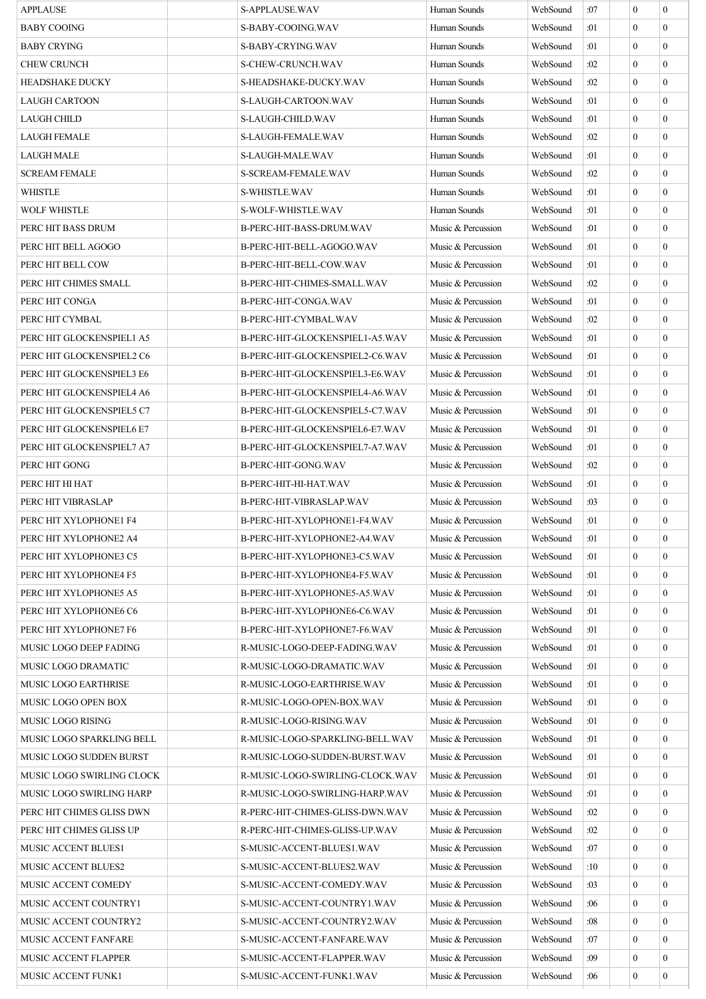| <b>APPLAUSE</b>             | <b>S-APPLAUSE WAV</b>           | Human Sounds       | WebSound | :07 | $\mathbf{0}$     | $\overline{0}$   |
|-----------------------------|---------------------------------|--------------------|----------|-----|------------------|------------------|
| <b>BABY COOING</b>          | S-BABY-COOING.WAV               | Human Sounds       | WebSound | :01 | $\Omega$         | $\overline{0}$   |
| <b>BABY CRYING</b>          | S-BABY-CRYING.WAV               | Human Sounds       | WebSound | :01 | $\Omega$         | $\overline{0}$   |
| <b>CHEW CRUNCH</b>          | S-CHEW-CRUNCH.WAV               | Human Sounds       | WebSound | :02 | $\mathbf{0}$     | $\overline{0}$   |
| <b>HEADSHAKE DUCKY</b>      | S-HEADSHAKE-DUCKY.WAV           | Human Sounds       | WebSound | :02 | $\Omega$         | $\overline{0}$   |
| <b>LAUGH CARTOON</b>        | S-LAUGH-CARTOON.WAV             | Human Sounds       | WebSound | :01 | $\Omega$         | $\overline{0}$   |
| LAUGH CHILD                 | S-LAUGH-CHILD.WAV               | Human Sounds       | WebSound | :01 | $\mathbf{0}$     | $\overline{0}$   |
| <b>LAUGH FEMALE</b>         | S-LAUGH-FEMALE.WAV              | Human Sounds       | WebSound | :02 | $\mathbf{0}$     | $\overline{0}$   |
| <b>LAUGH MALE</b>           | S-LAUGH-MALE.WAV                | Human Sounds       | WebSound | :01 | $\mathbf{0}$     | $\overline{0}$   |
| <b>SCREAM FEMALE</b>        | S-SCREAM-FEMALE.WAV             | Human Sounds       | WebSound | :02 | $\Omega$         | $\overline{0}$   |
| <b>WHISTLE</b>              | S-WHISTLE.WAV                   | Human Sounds       | WebSound | :01 | $\mathbf{0}$     | $\overline{0}$   |
| <b>WOLF WHISTLE</b>         | S-WOLF-WHISTLE.WAV              | Human Sounds       | WebSound | :01 | $\Omega$         | $\overline{0}$   |
| PERC HIT BASS DRUM          | B-PERC-HIT-BASS-DRUM.WAV        | Music & Percussion | WebSound | :01 | $\mathbf{0}$     | $\overline{0}$   |
| PERC HIT BELL AGOGO         | B-PERC-HIT-BELL-AGOGO.WAV       | Music & Percussion | WebSound | :01 | $\mathbf{0}$     | $\overline{0}$   |
| PERC HIT BELL COW           | B-PERC-HIT-BELL-COW.WAV         | Music & Percussion | WebSound | :01 | $\mathbf{0}$     | $\mathbf{0}$     |
| PERC HIT CHIMES SMALL       | B-PERC-HIT-CHIMES-SMALL.WAV     | Music & Percussion | WebSound | :02 | $\mathbf{0}$     | $\overline{0}$   |
| PERC HIT CONGA              | B-PERC-HIT-CONGA.WAV            | Music & Percussion | WebSound | :01 | $\Omega$         | $\overline{0}$   |
| PERC HIT CYMBAL             | B-PERC-HIT-CYMBAL.WAV           | Music & Percussion | WebSound | :02 | $\mathbf{0}$     | $\overline{0}$   |
| PERC HIT GLOCKENSPIEL1 A5   | B-PERC-HIT-GLOCKENSPIEL1-A5.WAV | Music & Percussion | WebSound | :01 | $\Omega$         | $\overline{0}$   |
| PERC HIT GLOCKENSPIEL2 C6   | B-PERC-HIT-GLOCKENSPIEL2-C6.WAV | Music & Percussion | WebSound | :01 | $\mathbf{0}$     | $\overline{0}$   |
| PERC HIT GLOCKENSPIEL3 E6   | B-PERC-HIT-GLOCKENSPIEL3-E6.WAV | Music & Percussion | WebSound | :01 | $\mathbf{0}$     | $\overline{0}$   |
| PERC HIT GLOCKENSPIEL4 A6   | B-PERC-HIT-GLOCKENSPIEL4-A6.WAV | Music & Percussion | WebSound | :01 | $\Omega$         | $\mathbf{0}$     |
| PERC HIT GLOCKENSPIEL5 C7   | B-PERC-HIT-GLOCKENSPIEL5-C7.WAV | Music & Percussion | WebSound | :01 | $\mathbf{0}$     | $\overline{0}$   |
| PERC HIT GLOCKENSPIEL6 E7   | B-PERC-HIT-GLOCKENSPIEL6-E7.WAV | Music & Percussion | WebSound | :01 | $\mathbf{0}$     | $\mathbf{0}$     |
| PERC HIT GLOCKENSPIEL7 A7   | B-PERC-HIT-GLOCKENSPIEL7-A7.WAV | Music & Percussion | WebSound | :01 | $\mathbf{0}$     | $\overline{0}$   |
| PERC HIT GONG               | B-PERC-HIT-GONG.WAV             | Music & Percussion | WebSound | :02 | $\Omega$         | $\overline{0}$   |
| PERC HIT HI HAT             | B-PERC-HIT-HI-HAT.WAV           | Music & Percussion | WebSound | :01 | $\mathbf{0}$     | $\mathbf{0}$     |
| PERC HIT VIBRASLAP          | B-PERC-HIT-VIBRASLAP.WAV        | Music & Percussion | WebSound | :03 | $\mathbf{0}$     | $\mathbf{0}$     |
| PERC HIT XYLOPHONE1 F4      | B-PERC-HIT-XYLOPHONE1-F4.WAV    | Music & Percussion | WebSound | :01 | $\mathbf{0}$     | $\boldsymbol{0}$ |
| PERC HIT XYLOPHONE2 A4      | B-PERC-HIT-XYLOPHONE2-A4.WAV    | Music & Percussion | WebSound | :01 | $\boldsymbol{0}$ | $\boldsymbol{0}$ |
| PERC HIT XYLOPHONE3 C5      | B-PERC-HIT-XYLOPHONE3-C5.WAV    | Music & Percussion | WebSound | :01 | $\Omega$         | $\mathbf{0}$     |
| PERC HIT XYLOPHONE4 F5      | B-PERC-HIT-XYLOPHONE4-F5.WAV    | Music & Percussion | WebSound | :01 | $\mathbf{0}$     | $\mathbf{0}$     |
| PERC HIT XYLOPHONE5 A5      | B-PERC-HIT-XYLOPHONE5-A5.WAV    | Music & Percussion | WebSound | :01 | $\mathbf{0}$     | $\overline{0}$   |
| PERC HIT XYLOPHONE6 C6      | B-PERC-HIT-XYLOPHONE6-C6.WAV    | Music & Percussion | WebSound | :01 | $\mathbf{0}$     | $\overline{0}$   |
| PERC HIT XYLOPHONE7 F6      | B-PERC-HIT-XYLOPHONE7-F6.WAV    | Music & Percussion | WebSound | :01 | $\Omega$         | $\mathbf{0}$     |
| MUSIC LOGO DEEP FADING      | R-MUSIC-LOGO-DEEP-FADING.WAV    | Music & Percussion | WebSound | :01 | $\mathbf{0}$     | $\overline{0}$   |
| MUSIC LOGO DRAMATIC         | R-MUSIC-LOGO-DRAMATIC.WAV       | Music & Percussion | WebSound | :01 | $\mathbf{0}$     | $\overline{0}$   |
| <b>MUSIC LOGO EARTHRISE</b> | R-MUSIC-LOGO-EARTHRISE.WAV      | Music & Percussion | WebSound | :01 | $\theta$         | $\mathbf{0}$     |
| MUSIC LOGO OPEN BOX         | R-MUSIC-LOGO-OPEN-BOX.WAV       | Music & Percussion | WebSound | :01 | $\mathbf{0}$     | $\mathbf{0}$     |
| MUSIC LOGO RISING           | R-MUSIC-LOGO-RISING.WAV         | Music & Percussion | WebSound | :01 | $\mathbf{0}$     | $\overline{0}$   |
| MUSIC LOGO SPARKLING BELL   | R-MUSIC-LOGO-SPARKLING-BELL.WAV | Music & Percussion | WebSound | :01 | $\mathbf{0}$     | $\overline{0}$   |
| MUSIC LOGO SUDDEN BURST     | R-MUSIC-LOGO-SUDDEN-BURST.WAV   | Music & Percussion | WebSound | :01 | $\Omega$         | $\mathbf{0}$     |
| MUSIC LOGO SWIRLING CLOCK   | R-MUSIC-LOGO-SWIRLING-CLOCK.WAV | Music & Percussion | WebSound | :01 | $\mathbf{0}$     | $\mathbf{0}$     |
| MUSIC LOGO SWIRLING HARP    | R-MUSIC-LOGO-SWIRLING-HARP.WAV  | Music & Percussion | WebSound | :01 | $\mathbf{0}$     | $\overline{0}$   |
| PERC HIT CHIMES GLISS DWN   | R-PERC-HIT-CHIMES-GLISS-DWN.WAV | Music & Percussion | WebSound | :02 | $\mathbf{0}$     | $\mathbf{0}$     |
| PERC HIT CHIMES GLISS UP    | R-PERC-HIT-CHIMES-GLISS-UP.WAV  | Music & Percussion | WebSound | :02 | $\mathbf{0}$     | $\mathbf{0}$     |
| MUSIC ACCENT BLUES1         | S-MUSIC-ACCENT-BLUES1.WAV       | Music & Percussion | WebSound | :07 | $\mathbf{0}$     | $\mathbf{0}$     |
| <b>MUSIC ACCENT BLUES2</b>  | S-MUSIC-ACCENT-BLUES2.WAV       | Music & Percussion | WebSound | :10 | $\boldsymbol{0}$ | $\overline{0}$   |
| MUSIC ACCENT COMEDY         | S-MUSIC-ACCENT-COMEDY.WAV       | Music & Percussion | WebSound | :03 | $\mathbf{0}$     | $\overline{0}$   |
| MUSIC ACCENT COUNTRY1       | S-MUSIC-ACCENT-COUNTRY1.WAV     | Music & Percussion | WebSound | :06 | $\mathbf{0}$     | $\mathbf{0}$     |
| MUSIC ACCENT COUNTRY2       | S-MUSIC-ACCENT-COUNTRY2.WAV     | Music & Percussion | WebSound | :08 | $\Omega$         | $\overline{0}$   |
| MUSIC ACCENT FANFARE        | S-MUSIC-ACCENT-FANFARE.WAV      | Music & Percussion | WebSound | :07 | $\mathbf{0}$     | $\overline{0}$   |
| <b>MUSIC ACCENT FLAPPER</b> | S-MUSIC-ACCENT-FLAPPER.WAV      | Music & Percussion | WebSound | :09 | $\boldsymbol{0}$ | $\mathbf{0}$     |
| MUSIC ACCENT FUNK1          | S-MUSIC-ACCENT-FUNK1.WAV        | Music & Percussion | WebSound | :06 | $\mathbf{0}$     | $\mathbf{0}$     |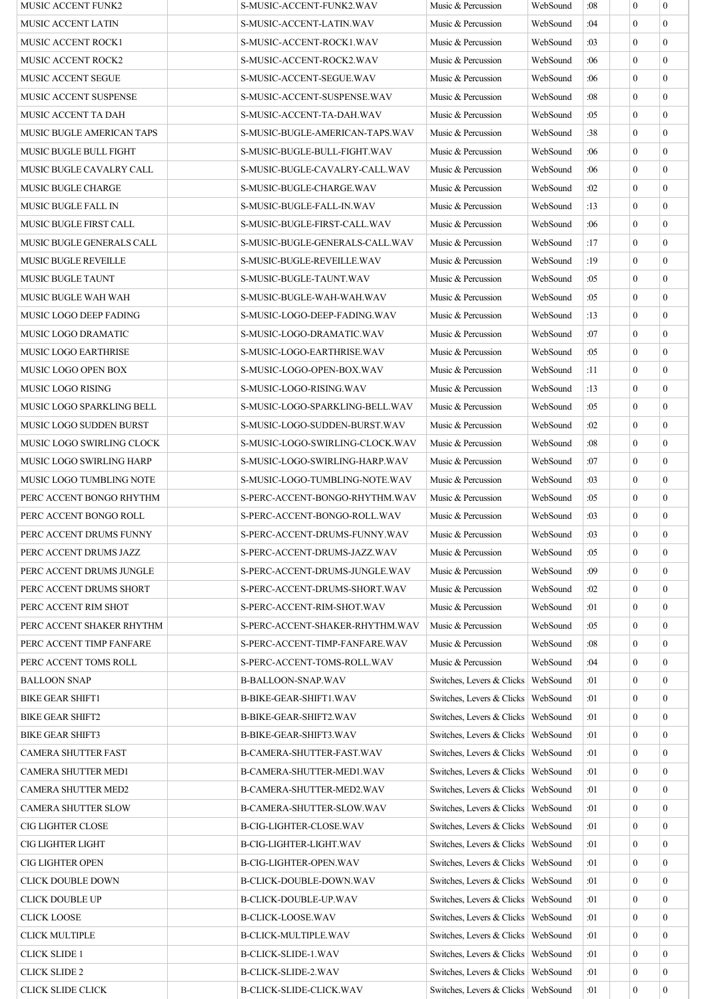| <b>MUSIC ACCENT FUNK2</b>   | S-MUSIC-ACCENT-FUNK2.WAV        | Music & Percussion                   | WebSound | :08 | $\overline{0}$   | $\overline{0}$   |
|-----------------------------|---------------------------------|--------------------------------------|----------|-----|------------------|------------------|
| <b>MUSIC ACCENT LATIN</b>   | S-MUSIC-ACCENT-LATIN.WAV        | Music & Percussion                   | WebSound | :04 | $\Omega$         | $\Omega$         |
| <b>MUSIC ACCENT ROCK1</b>   | S-MUSIC-ACCENT-ROCK1.WAV        | Music & Percussion                   | WebSound | :03 | $\overline{0}$   | $\overline{0}$   |
| <b>MUSIC ACCENT ROCK2</b>   | S-MUSIC-ACCENT-ROCK2.WAV        | Music & Percussion                   | WebSound | :06 | $\Omega$         | $\overline{0}$   |
| MUSIC ACCENT SEGUE          | S-MUSIC-ACCENT-SEGUE.WAV        | Music & Percussion                   | WebSound | :06 | $\overline{0}$   | $\Omega$         |
| MUSIC ACCENT SUSPENSE       | S-MUSIC-ACCENT-SUSPENSE.WAV     | Music & Percussion                   | WebSound | :08 | $\overline{0}$   | $\overline{0}$   |
| MUSIC ACCENT TA DAH         | S-MUSIC-ACCENT-TA-DAH.WAV       | Music & Percussion                   | WebSound | :05 | $\Omega$         | $\overline{0}$   |
| MUSIC BUGLE AMERICAN TAPS   | S-MUSIC-BUGLE-AMERICAN-TAPS.WAV | Music & Percussion                   | WebSound | :38 | $\overline{0}$   | $\Omega$         |
| MUSIC BUGLE BULL FIGHT      | S-MUSIC-BUGLE-BULL-FIGHT.WAV    | Music & Percussion                   | WebSound | :06 | $\Omega$         | $\Omega$         |
| MUSIC BUGLE CAVALRY CALL    | S-MUSIC-BUGLE-CAVALRY-CALL.WAV  | Music & Percussion                   | WebSound | :06 | $\overline{0}$   | $\overline{0}$   |
| <b>MUSIC BUGLE CHARGE</b>   | S-MUSIC-BUGLE-CHARGE.WAV        | Music & Percussion                   | WebSound | :02 | $\Omega$         | $\overline{0}$   |
| MUSIC BUGLE FALL IN         | S-MUSIC-BUGLE-FALL-IN.WAV       | Music & Percussion                   | WebSound | :13 | $\overline{0}$   | $\Omega$         |
| MUSIC BUGLE FIRST CALL      | S-MUSIC-BUGLE-FIRST-CALL.WAV    | Music & Percussion                   | WebSound | :06 | $\Omega$         | $\Omega$         |
| MUSIC BUGLE GENERALS CALL   | S-MUSIC-BUGLE-GENERALS-CALL.WAV | Music & Percussion                   | WebSound | :17 | $\overline{0}$   | $\overline{0}$   |
| <b>MUSIC BUGLE REVEILLE</b> | S-MUSIC-BUGLE-REVEILLE.WAV      | Music & Percussion                   | WebSound | :19 | $\overline{0}$   | $\overline{0}$   |
| MUSIC BUGLE TAUNT           | S-MUSIC-BUGLE-TAUNT.WAV         | Music & Percussion                   | WebSound | :05 | $\Omega$         | $\Omega$         |
| MUSIC BUGLE WAH WAH         | S-MUSIC-BUGLE-WAH-WAH.WAV       | Music & Percussion                   | WebSound | :05 | $\Omega$         | $\Omega$         |
| MUSIC LOGO DEEP FADING      | S-MUSIC-LOGO-DEEP-FADING.WAV    | Music & Percussion                   | WebSound | :13 | $\Omega$         | $\overline{0}$   |
| MUSIC LOGO DRAMATIC         | S-MUSIC-LOGO-DRAMATIC.WAV       | Music & Percussion                   | WebSound | :07 | $\overline{0}$   | $\overline{0}$   |
|                             |                                 |                                      |          | :05 | $\Omega$         | $\Omega$         |
| <b>MUSIC LOGO EARTHRISE</b> | S-MUSIC-LOGO-EARTHRISE.WAV      | Music & Percussion                   | WebSound |     |                  |                  |
| MUSIC LOGO OPEN BOX         | S-MUSIC-LOGO-OPEN-BOX.WAV       | Music & Percussion                   | WebSound | :11 | $\Omega$         | $\overline{0}$   |
| MUSIC LOGO RISING           | S-MUSIC-LOGO-RISING.WAV         | Music & Percussion                   | WebSound | :13 | $\overline{0}$   | $\overline{0}$   |
| MUSIC LOGO SPARKLING BELL   | S-MUSIC-LOGO-SPARKLING-BELL.WAV | Music & Percussion                   | WebSound | :05 | $\overline{0}$   | $\overline{0}$   |
| MUSIC LOGO SUDDEN BURST     | S-MUSIC-LOGO-SUDDEN-BURST.WAV   | Music & Percussion                   | WebSound | :02 | $\Omega$         | $\Omega$         |
| MUSIC LOGO SWIRLING CLOCK   | S-MUSIC-LOGO-SWIRLING-CLOCK.WAV | Music & Percussion                   | WebSound | :08 | $\Omega$         | $\overline{0}$   |
| MUSIC LOGO SWIRLING HARP    | S-MUSIC-LOGO-SWIRLING-HARP.WAV  | Music & Percussion                   | WebSound | :07 | $\overline{0}$   | $\overline{0}$   |
| MUSIC LOGO TUMBLING NOTE    | S-MUSIC-LOGO-TUMBLING-NOTE.WAV  | Music & Percussion                   | WebSound | :03 | $\Omega$         | $\Omega$         |
| PERC ACCENT BONGO RHYTHM    | S-PERC-ACCENT-BONGO-RHYTHM.WAV  | Music & Percussion                   | WebSound | :05 | $\Omega$         | $\theta$         |
| PERC ACCENT BONGO ROLL      | S-PERC-ACCENT-BONGO-ROLL.WAV    | Music & Percussion                   | WebSound | :03 | $\overline{0}$   | $\overline{0}$   |
| PERC ACCENT DRUMS FUNNY     | S-PERC-ACCENT-DRUMS-FUNNY.WAV   | Music & Percussion                   | WebSound | :03 | $\mathbf{0}$     | $\boldsymbol{0}$ |
| PERC ACCENT DRUMS JAZZ      | S-PERC-ACCENT-DRUMS-JAZZ.WAV    | Music & Percussion                   | WebSound | :05 | $\overline{0}$   | $\overline{0}$   |
| PERC ACCENT DRUMS JUNGLE    | S-PERC-ACCENT-DRUMS-JUNGLE.WAV  | Music & Percussion                   | WebSound | :09 | $\Omega$         | $\overline{0}$   |
| PERC ACCENT DRUMS SHORT     | S-PERC-ACCENT-DRUMS-SHORT.WAV   | Music & Percussion                   | WebSound | :02 | $\overline{0}$   | $\overline{0}$   |
| PERC ACCENT RIM SHOT        | S-PERC-ACCENT-RIM-SHOT.WAV      | Music & Percussion                   | WebSound | :01 | $\overline{0}$   | $\overline{0}$   |
| PERC ACCENT SHAKER RHYTHM   | S-PERC-ACCENT-SHAKER-RHYTHM.WAV | Music & Percussion                   | WebSound | :05 | $\overline{0}$   | $\overline{0}$   |
| PERC ACCENT TIMP FANFARE    | S-PERC-ACCENT-TIMP-FANFARE.WAV  | Music & Percussion                   | WebSound | :08 | $\Omega$         | $\overline{0}$   |
| PERC ACCENT TOMS ROLL       | S-PERC-ACCENT-TOMS-ROLL.WAV     | Music & Percussion                   | WebSound | :04 | $\Omega$         | $\overline{0}$   |
| <b>BALLOON SNAP</b>         | <b>B-BALLOON-SNAP.WAV</b>       | Switches, Levers & Clicks            | WebSound | :01 | $\overline{0}$   | $\overline{0}$   |
| <b>BIKE GEAR SHIFT1</b>     | <b>B-BIKE-GEAR-SHIFT1.WAV</b>   | Switches, Levers & Clicks   WebSound |          | :01 | $\overline{0}$   | $\overline{0}$   |
| <b>BIKE GEAR SHIFT2</b>     | <b>B-BIKE-GEAR-SHIFT2.WAV</b>   | Switches, Levers & Clicks            | WebSound | :01 | $\overline{0}$   | $\overline{0}$   |
| <b>BIKE GEAR SHIFT3</b>     | B-BIKE-GEAR-SHIFT3.WAV          | Switches, Levers & Clicks            | WebSound | :01 | $\overline{0}$   | $\overline{0}$   |
| <b>CAMERA SHUTTER FAST</b>  | B-CAMERA-SHUTTER-FAST.WAV       | Switches, Levers & Clicks            | WebSound | :01 | $\overline{0}$   | $\overline{0}$   |
| CAMERA SHUTTER MED1         | B-CAMERA-SHUTTER-MED1.WAV       | Switches, Levers & Clicks   WebSound |          | :01 | $\overline{0}$   | $\overline{0}$   |
| CAMERA SHUTTER MED2         | B-CAMERA-SHUTTER-MED2.WAV       | Switches, Levers & Clicks   WebSound |          | :01 | $\overline{0}$   | $\overline{0}$   |
|                             |                                 | Switches, Levers & Clicks   WebSound |          |     | $\overline{0}$   | $\overline{0}$   |
| <b>CAMERA SHUTTER SLOW</b>  | B-CAMERA-SHUTTER-SLOW.WAV       |                                      |          | :01 |                  |                  |
| CIG LIGHTER CLOSE           | B-CIG-LIGHTER-CLOSE.WAV         | Switches, Levers & Clicks   WebSound |          | :01 | $\overline{0}$   | $\overline{0}$   |
| <b>CIG LIGHTER LIGHT</b>    | B-CIG-LIGHTER-LIGHT.WAV         | Switches, Levers & Clicks   WebSound |          | :01 | $\overline{0}$   | $\overline{0}$   |
| <b>CIG LIGHTER OPEN</b>     | B-CIG-LIGHTER-OPEN.WAV          | Switches, Levers & Clicks   WebSound |          | :01 | $\overline{0}$   | $\overline{0}$   |
| CLICK DOUBLE DOWN           | B-CLICK-DOUBLE-DOWN.WAV         | Switches, Levers & Clicks            | WebSound | :01 | $\overline{0}$   | $\overline{0}$   |
| <b>CLICK DOUBLE UP</b>      | <b>B-CLICK-DOUBLE-UP.WAV</b>    | Switches, Levers & Clicks   WebSound |          | :01 | $\overline{0}$   | $\overline{0}$   |
| <b>CLICK LOOSE</b>          | <b>B-CLICK-LOOSE.WAV</b>        | Switches, Levers & Clicks   WebSound |          | :01 | $\overline{0}$   | $\overline{0}$   |
| <b>CLICK MULTIPLE</b>       | <b>B-CLICK-MULTIPLE.WAV</b>     | Switches, Levers & Clicks   WebSound |          | :01 | $\overline{0}$   | $\overline{0}$   |
| <b>CLICK SLIDE 1</b>        | <b>B-CLICK-SLIDE-1.WAV</b>      | Switches, Levers & Clicks   WebSound |          | :01 | $\overline{0}$   | $\overline{0}$   |
| <b>CLICK SLIDE 2</b>        | <b>B-CLICK-SLIDE-2.WAV</b>      | Switches, Levers & Clicks   WebSound |          | :01 | $\overline{0}$   | $\boldsymbol{0}$ |
| <b>CLICK SLIDE CLICK</b>    | B-CLICK-SLIDE-CLICK.WAV         | Switches, Levers & Clicks   WebSound |          | :01 | $\boldsymbol{0}$ | $\boldsymbol{0}$ |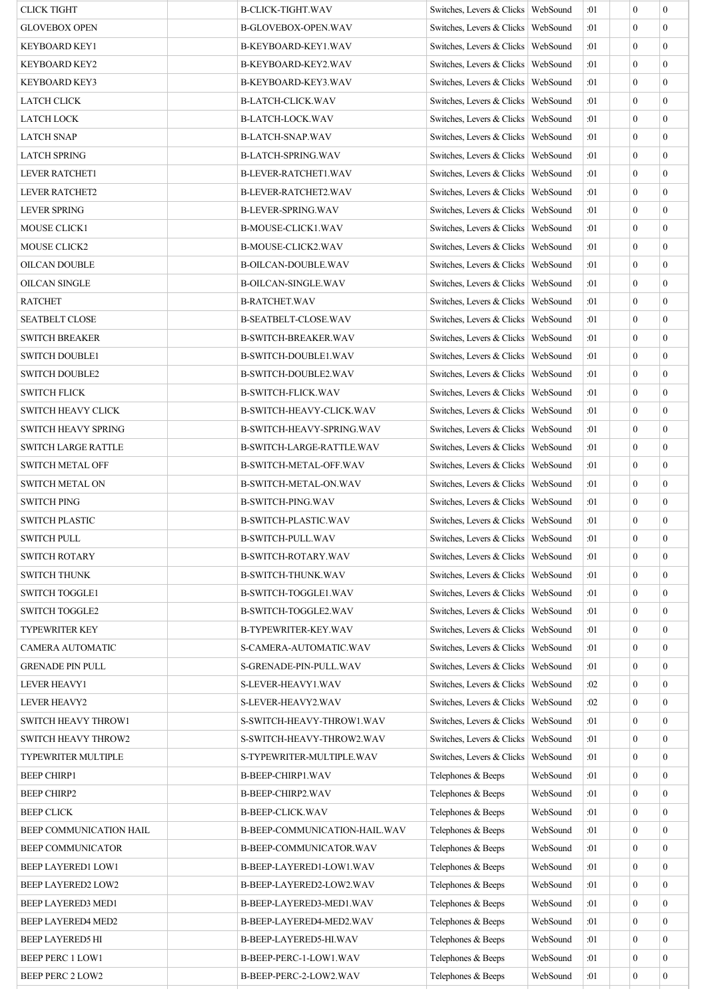| <b>CLICK TIGHT</b>         | <b>B-CLICK-TIGHT.WAV</b>      | Switches, Levers & Clicks   WebSound |          | :01 | $\overline{0}$ | $\mathbf{0}$     |
|----------------------------|-------------------------------|--------------------------------------|----------|-----|----------------|------------------|
| <b>GLOVEBOX OPEN</b>       | <b>B-GLOVEBOX-OPEN.WAV</b>    | Switches, Levers & Clicks   WebSound |          | :01 | $\theta$       | $\mathbf{0}$     |
| <b>KEYBOARD KEY1</b>       | B-KEYBOARD-KEY1.WAV           | Switches, Levers & Clicks   WebSound |          | :01 | $\theta$       | $\mathbf{0}$     |
| <b>KEYBOARD KEY2</b>       | B-KEYBOARD-KEY2.WAV           | Switches, Levers & Clicks   WebSound |          | :01 | $\theta$       | $\mathbf{0}$     |
| <b>KEYBOARD KEY3</b>       | B-KEYBOARD-KEY3.WAV           | Switches, Levers & Clicks   WebSound |          | :01 | $\theta$       | $\theta$         |
| LATCH CLICK                | <b>B-LATCH-CLICK.WAV</b>      | Switches, Levers & Clicks   WebSound |          | :01 | $\theta$       | $\theta$         |
| LATCH LOCK                 | <b>B-LATCH-LOCK.WAV</b>       | Switches, Levers & Clicks   WebSound |          | :01 | $\theta$       | $\mathbf{0}$     |
| <b>LATCH SNAP</b>          | <b>B-LATCH-SNAP.WAV</b>       | Switches, Levers & Clicks   WebSound |          | :01 | $\theta$       | $\mathbf{0}$     |
| <b>LATCH SPRING</b>        | <b>B-LATCH-SPRING.WAV</b>     | Switches, Levers & Clicks   WebSound |          | :01 | $\theta$       | $\mathbf{0}$     |
| <b>LEVER RATCHET1</b>      | B-LEVER-RATCHET1.WAV          | Switches, Levers & Clicks   WebSound |          | :01 | $\theta$       | $\theta$         |
| <b>LEVER RATCHET2</b>      | <b>B-LEVER-RATCHET2.WAV</b>   | Switches, Levers & Clicks   WebSound |          | :01 | $\overline{0}$ | $\mathbf{0}$     |
| <b>LEVER SPRING</b>        | <b>B-LEVER-SPRING.WAV</b>     | Switches, Levers & Clicks   WebSound |          | :01 | $\theta$       | $\mathbf{0}$     |
| MOUSE CLICK1               | B-MOUSE-CLICK1.WAV            | Switches, Levers & Clicks   WebSound |          | :01 | $\theta$       | $\Omega$         |
| MOUSE CLICK2               | B-MOUSE-CLICK2.WAV            | Switches, Levers & Clicks   WebSound |          | :01 | $\theta$       | $\mathbf{0}$     |
| <b>OILCAN DOUBLE</b>       | <b>B-OILCAN-DOUBLE.WAV</b>    | Switches, Levers & Clicks   WebSound |          | :01 | $\overline{0}$ | $\mathbf{0}$     |
| <b>OILCAN SINGLE</b>       | <b>B-OILCAN-SINGLE.WAV</b>    | Switches. Levers & Clicks   WebSound |          | :01 | $\theta$       | $\mathbf{0}$     |
| <b>RATCHET</b>             | <b>B-RATCHET.WAV</b>          | Switches, Levers & Clicks   WebSound |          | :01 | $\theta$       | $\theta$         |
| <b>SEATBELT CLOSE</b>      | <b>B-SEATBELT-CLOSE.WAV</b>   | Switches, Levers & Clicks   WebSound |          | :01 | $\theta$       | $\mathbf{0}$     |
| <b>SWITCH BREAKER</b>      | <b>B-SWITCH-BREAKER.WAV</b>   | Switches, Levers & Clicks   WebSound |          | :01 | $\theta$       | $\mathbf{0}$     |
| <b>SWITCH DOUBLE1</b>      | B-SWITCH-DOUBLE1.WAV          | Switches, Levers & Clicks   WebSound |          | :01 | $\overline{0}$ | $\overline{0}$   |
| <b>SWITCH DOUBLE2</b>      | B-SWITCH-DOUBLE2.WAV          | Switches, Levers & Clicks   WebSound |          | :01 | $\theta$       | $\theta$         |
| <b>SWITCH FLICK</b>        | <b>B-SWITCH-FLICK.WAV</b>     | Switches, Levers & Clicks   WebSound |          | :01 | $\overline{0}$ | $\theta$         |
| <b>SWITCH HEAVY CLICK</b>  | B-SWITCH-HEAVY-CLICK.WAV      | Switches, Levers & Clicks   WebSound |          | :01 | $\theta$       | $\mathbf{0}$     |
| <b>SWITCH HEAVY SPRING</b> | B-SWITCH-HEAVY-SPRING.WAV     | Switches, Levers & Clicks   WebSound |          | :01 | $\theta$       | $\mathbf{0}$     |
|                            |                               |                                      |          | :01 | $\theta$       | $\mathbf{0}$     |
| <b>SWITCH LARGE RATTLE</b> | B-SWITCH-LARGE-RATTLE.WAV     | Switches, Levers & Clicks   WebSound |          |     | $\theta$       | $\theta$         |
| <b>SWITCH METAL OFF</b>    | B-SWITCH-METAL-OFF.WAV        | Switches, Levers & Clicks   WebSound |          | :01 |                |                  |
| <b>SWITCH METAL ON</b>     | B-SWITCH-METAL-ON.WAV         | Switches, Levers & Clicks   WebSound |          | :01 | $\mathbf{0}$   | $\mathbf{0}$     |
| <b>SWITCH PING</b>         | <b>B-SWITCH-PING.WAV</b>      | Switches, Levers & Clicks   WebSound |          | :01 | $\theta$       | $\mathbf{0}$     |
| <b>SWITCH PLASTIC</b>      | <b>B-SWITCH-PLASTIC.WAV</b>   | Switches, Levers & Clicks   WebSound |          | :01 | $\overline{0}$ | $\mathbf{0}$     |
| SWITCH PULL                | B-SWITCH-PULL.WAV             | Switches, Levers & Clicks   WebSound |          | :01 | $\bf{0}$       | $\bf{0}$         |
| <b>SWITCH ROTARY</b>       | <b>B-SWITCH-ROTARY.WAV</b>    | Switches, Levers & Clicks   WebSound |          | :01 | $\theta$       | $\theta$         |
| <b>SWITCH THUNK</b>        | <b>B-SWITCH-THUNK.WAV</b>     | Switches, Levers & Clicks   WebSound |          | :01 | $\theta$       | $\mathbf{0}$     |
| <b>SWITCH TOGGLE1</b>      | B-SWITCH-TOGGLE1.WAV          | Switches, Levers & Clicks   WebSound |          | :01 | $\theta$       | $\theta$         |
| <b>SWITCH TOGGLE2</b>      | B-SWITCH-TOGGLE2.WAV          | Switches, Levers & Clicks   WebSound |          | :01 | $\overline{0}$ | $\mathbf{0}$     |
| <b>TYPEWRITER KEY</b>      | <b>B-TYPEWRITER-KEY.WAV</b>   | Switches, Levers & Clicks   WebSound |          | :01 | $\overline{0}$ | $\mathbf{0}$     |
| <b>CAMERA AUTOMATIC</b>    | S-CAMERA-AUTOMATIC.WAV        | Switches, Levers & Clicks   WebSound |          | :01 | $\mathbf{0}$   | $\mathbf{0}$     |
| <b>GRENADE PIN PULL</b>    | S-GRENADE-PIN-PULL.WAV        | Switches, Levers & Clicks   WebSound |          | :01 | $\theta$       | $\theta$         |
| LEVER HEAVY1               | S-LEVER-HEAVY1.WAV            | Switches, Levers & Clicks   WebSound |          | :02 | $\mathbf{0}$   | $\theta$         |
| <b>LEVER HEAVY2</b>        | S-LEVER-HEAVY2.WAV            | Switches, Levers & Clicks   WebSound |          | :02 | $\overline{0}$ | $\mathbf{0}$     |
| <b>SWITCH HEAVY THROW1</b> | S-SWITCH-HEAVY-THROW1.WAV     | Switches, Levers & Clicks   WebSound |          | :01 | $\overline{0}$ | $\mathbf{0}$     |
| SWITCH HEAVY THROW2        | S-SWITCH-HEAVY-THROW2.WAV     | Switches, Levers & Clicks   WebSound |          | :01 | $\theta$       | $\mathbf{0}$     |
| <b>TYPEWRITER MULTIPLE</b> | S-TYPEWRITER-MULTIPLE.WAV     | Switches, Levers & Clicks   WebSound |          | :01 | $\theta$       | $\theta$         |
| <b>BEEP CHIRP1</b>         | B-BEEP-CHIRP1.WAV             | Telephones & Beeps                   | WebSound | :01 | $\overline{0}$ | $\mathbf{0}$     |
| <b>BEEP CHIRP2</b>         | <b>B-BEEP-CHIRP2.WAV</b>      | Telephones & Beeps                   | WebSound | :01 | $\theta$       | $\mathbf{0}$     |
| <b>BEEP CLICK</b>          | <b>B-BEEP-CLICK.WAV</b>       | Telephones & Beeps                   | WebSound | :01 | $\theta$       | $\theta$         |
| BEEP COMMUNICATION HAIL    | B-BEEP-COMMUNICATION-HAIL.WAV | Telephones & Beeps                   | WebSound | :01 | $\theta$       | $\theta$         |
| <b>BEEP COMMUNICATOR</b>   | B-BEEP-COMMUNICATOR.WAV       | Telephones & Beeps                   | WebSound | :01 | $\overline{0}$ | $\mathbf{0}$     |
| BEEP LAYERED1 LOW1         | B-BEEP-LAYERED1-LOW1.WAV      | Telephones & Beeps                   | WebSound | :01 | $\overline{0}$ | $\mathbf{0}$     |
| BEEP LAYERED2 LOW2         | B-BEEP-LAYERED2-LOW2.WAV      | Telephones & Beeps                   | WebSound | :01 | $\theta$       | $\theta$         |
| BEEP LAYERED3 MED1         | B-BEEP-LAYERED3-MED1.WAV      | Telephones & Beeps                   | WebSound | :01 | $\overline{0}$ | $\mathbf{0}$     |
| <b>BEEP LAYERED4 MED2</b>  | B-BEEP-LAYERED4-MED2.WAV      | Telephones & Beeps                   | WebSound | :01 | $\overline{0}$ | $\mathbf{0}$     |
| <b>BEEP LAYERED5 HI</b>    | B-BEEP-LAYERED5-HI.WAV        | Telephones & Beeps                   | WebSound | :01 | $\mathbf{0}$   | $\mathbf{0}$     |
| BEEP PERC 1 LOW1           | B-BEEP-PERC-1-LOW1.WAV        | Telephones & Beeps                   | WebSound | :01 | $\theta$       | $\theta$         |
| <b>BEEP PERC 2 LOW2</b>    | B-BEEP-PERC-2-LOW2.WAV        | Telephones & Beeps                   | WebSound | :01 | $\overline{0}$ | $\boldsymbol{0}$ |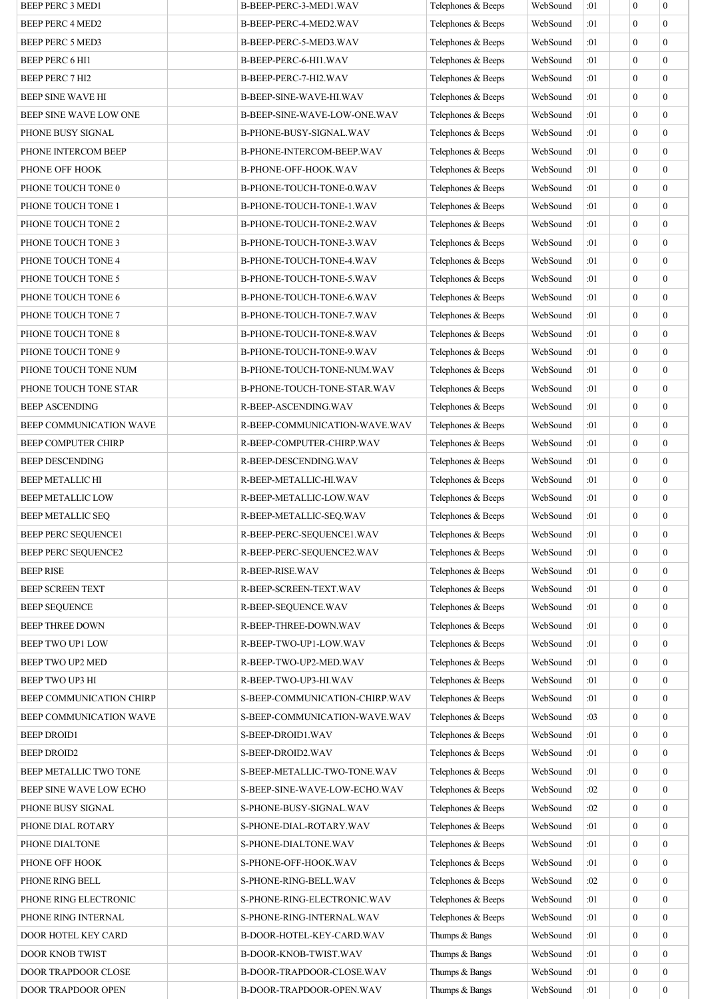| BEEP PERC 3 MED1           | B-BEEP-PERC-3-MED1.WAV         | Telephones & Beeps | WebSound | :01        | $\boldsymbol{0}$ | $\boldsymbol{0}$ |
|----------------------------|--------------------------------|--------------------|----------|------------|------------------|------------------|
| <b>BEEP PERC 4 MED2</b>    | B-BEEP-PERC-4-MED2.WAV         | Telephones & Beeps | WebSound | :01        | $\mathbf{0}$     | $\mathbf{0}$     |
| BEEP PERC 5 MED3           | B-BEEP-PERC-5-MED3.WAV         | Telephones & Beeps | WebSound | :01        | $\mathbf{0}$     | $\mathbf{0}$     |
| BEEP PERC 6 HI1            | B-BEEP-PERC-6-HI1.WAV          | Telephones & Beeps | WebSound | :01        | $\boldsymbol{0}$ | $\mathbf{0}$     |
| <b>BEEP PERC 7 HI2</b>     | B-BEEP-PERC-7-HI2.WAV          | Telephones & Beeps | WebSound | :01        | $\boldsymbol{0}$ | $\mathbf{0}$     |
| BEEP SINE WAVE HI          | B-BEEP-SINE-WAVE-HI.WAV        | Telephones & Beeps | WebSound | :01        | $\boldsymbol{0}$ | $\mathbf{0}$     |
| BEEP SINE WAVE LOW ONE     | B-BEEP-SINE-WAVE-LOW-ONE.WAV   | Telephones & Beeps | WebSound | :01        | $\mathbf{0}$     | $\mathbf{0}$     |
| PHONE BUSY SIGNAL          | B-PHONE-BUSY-SIGNAL.WAV        | Telephones & Beeps | WebSound | :01        | $\boldsymbol{0}$ | $\mathbf{0}$     |
| PHONE INTERCOM BEEP        | B-PHONE-INTERCOM-BEEP.WAV      | Telephones & Beeps | WebSound | :01        | $\boldsymbol{0}$ | $\mathbf{0}$     |
| PHONE OFF HOOK             | B-PHONE-OFF-HOOK.WAV           | Telephones & Beeps | WebSound | :01        | $\boldsymbol{0}$ | $\mathbf{0}$     |
| PHONE TOUCH TONE 0         | B-PHONE-TOUCH-TONE-0.WAV       | Telephones & Beeps | WebSound | :01        | $\boldsymbol{0}$ | $\mathbf{0}$     |
| PHONE TOUCH TONE 1         | B-PHONE-TOUCH-TONE-1.WAV       | Telephones & Beeps | WebSound | :01        | $\mathbf{0}$     | $\theta$         |
| PHONE TOUCH TONE 2         | B-PHONE-TOUCH-TONE-2.WAV       | Telephones & Beeps | WebSound | :01        | $\boldsymbol{0}$ | $\mathbf{0}$     |
| PHONE TOUCH TONE 3         | B-PHONE-TOUCH-TONE-3.WAV       | Telephones & Beeps | WebSound | :01        | $\boldsymbol{0}$ | $\mathbf{0}$     |
| PHONE TOUCH TONE 4         | B-PHONE-TOUCH-TONE-4.WAV       | Telephones & Beeps | WebSound | :01        | $\boldsymbol{0}$ | $\mathbf{0}$     |
| PHONE TOUCH TONE 5         | B-PHONE-TOUCH-TONE-5.WAV       | Telephones & Beeps | WebSound | :01        | $\mathbf{0}$     | $\mathbf{0}$     |
| PHONE TOUCH TONE 6         | B-PHONE-TOUCH-TONE-6.WAV       | Telephones & Beeps | WebSound | :01        | $\boldsymbol{0}$ | $\mathbf{0}$     |
| PHONE TOUCH TONE 7         | B-PHONE-TOUCH-TONE-7.WAV       | Telephones & Beeps | WebSound | :01        | $\boldsymbol{0}$ | $\mathbf{0}$     |
| PHONE TOUCH TONE 8         | B-PHONE-TOUCH-TONE-8.WAV       | Telephones & Beeps | WebSound | :01        | $\boldsymbol{0}$ | $\mathbf{0}$     |
| PHONE TOUCH TONE 9         | B-PHONE-TOUCH-TONE-9.WAV       | Telephones & Beeps | WebSound | :01        | $\mathbf{0}$     | $\mathbf{0}$     |
| PHONE TOUCH TONE NUM       | B-PHONE-TOUCH-TONE-NUM.WAV     | Telephones & Beeps | WebSound | :01        | $\boldsymbol{0}$ | $\mathbf{0}$     |
| PHONE TOUCH TONE STAR      | B-PHONE-TOUCH-TONE-STAR.WAV    | Telephones & Beeps | WebSound | :01        | $\boldsymbol{0}$ | $\mathbf{0}$     |
| <b>BEEP ASCENDING</b>      | R-BEEP-ASCENDING.WAV           | Telephones & Beeps | WebSound | :01        | $\mathbf{0}$     | $\mathbf{0}$     |
| BEEP COMMUNICATION WAVE    | R-BEEP-COMMUNICATION-WAVE.WAV  | Telephones & Beeps | WebSound | :01        | $\boldsymbol{0}$ | $\mathbf{0}$     |
| <b>BEEP COMPUTER CHIRP</b> | R-BEEP-COMPUTER-CHIRP.WAV      | Telephones & Beeps | WebSound | :01        | $\boldsymbol{0}$ | $\mathbf{0}$     |
| <b>BEEP DESCENDING</b>     | R-BEEP-DESCENDING.WAV          | Telephones & Beeps | WebSound | :01        | $\boldsymbol{0}$ | $\mathbf{0}$     |
| <b>BEEP METALLIC HI</b>    | R-BEEP-METALLIC-HI.WAV         | Telephones & Beeps | WebSound | :01        | $\mathbf{0}$     | $\mathbf{0}$     |
| <b>BEEP METALLIC LOW</b>   | R-BEEP-METALLIC-LOW.WAV        | Telephones & Beeps | WebSound | :01        | $\mathbf{0}$     | $\mathbf{0}$     |
| <b>BEEP METALLIC SEO</b>   | R-BEEP-METALLIC-SEQ.WAV        | Telephones & Beeps | WebSound | :01        | $\boldsymbol{0}$ | $\boldsymbol{0}$ |
| BEEP PERC SEQUENCE1        | R-BEEP-PERC-SEQUENCE1.WAV      | Telephones & Beeps | WebSound | :01        | $\boldsymbol{0}$ | $\boldsymbol{0}$ |
| <b>BEEP PERC SEQUENCE2</b> | R-BEEP-PERC-SEQUENCE2.WAV      | Telephones & Beeps | WebSound | :01        | $\boldsymbol{0}$ | $\overline{0}$   |
| <b>BEEP RISE</b>           | R-BEEP-RISE.WAV                | Telephones & Beeps | WebSound | :01        | $\boldsymbol{0}$ | $\mathbf{0}$     |
| <b>BEEP SCREEN TEXT</b>    | R-BEEP-SCREEN-TEXT.WAV         | Telephones & Beeps | WebSound | :01        | $\boldsymbol{0}$ | $\mathbf{0}$     |
| <b>BEEP SEQUENCE</b>       | R-BEEP-SEQUENCE.WAV            | Telephones & Beeps | WebSound | :01        | $\boldsymbol{0}$ | $\mathbf{0}$     |
| <b>BEEP THREE DOWN</b>     | R-BEEP-THREE-DOWN.WAV          | Telephones & Beeps | WebSound | :01        | $\boldsymbol{0}$ | $\mathbf{0}$     |
| BEEP TWO UP1 LOW           | R-BEEP-TWO-UP1-LOW.WAV         | Telephones & Beeps | WebSound | :01        | $\boldsymbol{0}$ | $\mathbf{0}$     |
| BEEP TWO UP2 MED           | R-BEEP-TWO-UP2-MED.WAV         | Telephones & Beeps | WebSound | :01        | $\boldsymbol{0}$ | $\mathbf{0}$     |
| BEEP TWO UP3 HI            | R-BEEP-TWO-UP3-HI.WAV          | Telephones & Beeps | WebSound | :01        | $\boldsymbol{0}$ | $\boldsymbol{0}$ |
| BEEP COMMUNICATION CHIRP   | S-BEEP-COMMUNICATION-CHIRP.WAV | Telephones & Beeps | WebSound | :01        | $\boldsymbol{0}$ | $\mathbf{0}$     |
| BEEP COMMUNICATION WAVE    | S-BEEP-COMMUNICATION-WAVE.WAV  | Telephones & Beeps | WebSound | :03        | $\boldsymbol{0}$ | $\overline{0}$   |
| <b>BEEP DROID1</b>         | S-BEEP-DROID1.WAV              | Telephones & Beeps | WebSound | :01        | $\boldsymbol{0}$ | $\mathbf{0}$     |
| <b>BEEP DROID2</b>         | S-BEEP-DROID2.WAV              | Telephones & Beeps | WebSound | :01        | $\boldsymbol{0}$ | $\mathbf{0}$     |
| BEEP METALLIC TWO TONE     | S-BEEP-METALLIC-TWO-TONE.WAV   | Telephones & Beeps | WebSound | :01        | $\boldsymbol{0}$ | $\mathbf{0}$     |
| BEEP SINE WAVE LOW ECHO    | S-BEEP-SINE-WAVE-LOW-ECHO.WAV  | Telephones & Beeps | WebSound | :02        | $\boldsymbol{0}$ | $\theta$         |
| PHONE BUSY SIGNAL          | S-PHONE-BUSY-SIGNAL.WAV        | Telephones & Beeps | WebSound | :02        | $\boldsymbol{0}$ | $\boldsymbol{0}$ |
| PHONE DIAL ROTARY          | S-PHONE-DIAL-ROTARY.WAV        | Telephones & Beeps | WebSound | :01        | $\boldsymbol{0}$ | $\mathbf{0}$     |
| PHONE DIALTONE             |                                | Telephones & Beeps | WebSound |            | $\boldsymbol{0}$ | $\mathbf{0}$     |
|                            | S-PHONE-DIALTONE.WAV           | Telephones & Beeps | WebSound | :01<br>:01 | $\boldsymbol{0}$ | $\mathbf{0}$     |
| PHONE OFF HOOK             | S-PHONE-OFF-HOOK.WAV           |                    |          |            |                  | $\mathbf{0}$     |
| PHONE RING BELL            | S-PHONE-RING-BELL.WAV          | Telephones & Beeps | WebSound | :02        | $\boldsymbol{0}$ |                  |
| PHONE RING ELECTRONIC      | S-PHONE-RING-ELECTRONIC.WAV    | Telephones & Beeps | WebSound | :01        | $\boldsymbol{0}$ | $\mathbf{0}$     |
| PHONE RING INTERNAL        | S-PHONE-RING-INTERNAL.WAV      | Telephones & Beeps | WebSound | :01        | $\boldsymbol{0}$ | $\mathbf{0}$     |
| DOOR HOTEL KEY CARD        | B-DOOR-HOTEL-KEY-CARD.WAV      | Thumps & Bangs     | WebSound | :01        | $\boldsymbol{0}$ | $\mathbf{0}$     |
| DOOR KNOB TWIST            | B-DOOR-KNOB-TWIST.WAV          | Thumps & Bangs     | WebSound | :01        | $\boldsymbol{0}$ | $\mathbf{0}$     |
| <b>DOOR TRAPDOOR CLOSE</b> | B-DOOR-TRAPDOOR-CLOSE.WAV      | Thumps & Bangs     | WebSound | :01        | $\boldsymbol{0}$ | $\boldsymbol{0}$ |
| DOOR TRAPDOOR OPEN         | B-DOOR-TRAPDOOR-OPEN.WAV       | Thumps & Bangs     | WebSound | :01        | $\boldsymbol{0}$ | $\boldsymbol{0}$ |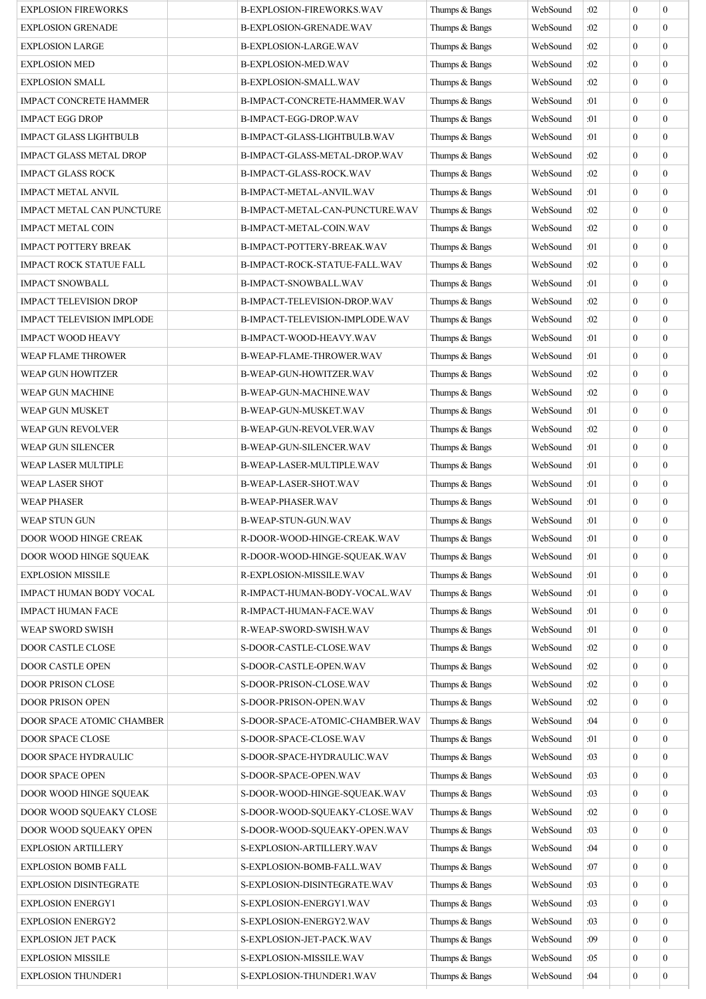| <b>EXPLOSION FIREWORKS</b>       | <b>B-EXPLOSION-FIREWORKS.WAV</b> | Thumps & Bangs | WebSound | :02 | $\mathbf{0}$     | $\boldsymbol{0}$ |
|----------------------------------|----------------------------------|----------------|----------|-----|------------------|------------------|
| <b>EXPLOSION GRENADE</b>         | B-EXPLOSION-GRENADE.WAV          | Thumps & Bangs | WebSound | :02 | $\mathbf{0}$     | $\boldsymbol{0}$ |
| <b>EXPLOSION LARGE</b>           | B-EXPLOSION-LARGE.WAV            | Thumps & Bangs | WebSound | :02 | $\mathbf{0}$     | $\boldsymbol{0}$ |
| <b>EXPLOSION MED</b>             | B-EXPLOSION-MED.WAV              | Thumps & Bangs | WebSound | :02 | $\mathbf{0}$     | $\boldsymbol{0}$ |
| <b>EXPLOSION SMALL</b>           | B-EXPLOSION-SMALL.WAV            | Thumps & Bangs | WebSound | :02 | $\Omega$         | $\boldsymbol{0}$ |
| <b>IMPACT CONCRETE HAMMER</b>    | B-IMPACT-CONCRETE-HAMMER.WAV     | Thumps & Bangs | WebSound | :01 | $\mathbf{0}$     | $\boldsymbol{0}$ |
| IMPACT EGG DROP                  | B-IMPACT-EGG-DROP.WAV            | Thumps & Bangs | WebSound | :01 | $\mathbf{0}$     | $\boldsymbol{0}$ |
| <b>IMPACT GLASS LIGHTBULB</b>    | B-IMPACT-GLASS-LIGHTBULB.WAV     | Thumps & Bangs | WebSound | :01 | $\Omega$         | $\mathbf{0}$     |
| <b>IMPACT GLASS METAL DROP</b>   | B-IMPACT-GLASS-METAL-DROP.WAV    | Thumps & Bangs | WebSound | :02 | $\mathbf{0}$     | $\boldsymbol{0}$ |
| <b>IMPACT GLASS ROCK</b>         | B-IMPACT-GLASS-ROCK.WAV          | Thumps & Bangs | WebSound | :02 | $\mathbf{0}$     | $\boldsymbol{0}$ |
| <b>IMPACT METAL ANVIL</b>        | B-IMPACT-METAL-ANVIL.WAV         | Thumps & Bangs | WebSound | :01 | $\mathbf{0}$     | $\boldsymbol{0}$ |
| <b>IMPACT METAL CAN PUNCTURE</b> | B-IMPACT-METAL-CAN-PUNCTURE.WAV  | Thumps & Bangs | WebSound | :02 | $\Omega$         | $\mathbf{0}$     |
| <b>IMPACT METAL COIN</b>         | B-IMPACT-METAL-COIN.WAV          | Thumps & Bangs | WebSound | :02 | $\mathbf{0}$     | $\boldsymbol{0}$ |
| <b>IMPACT POTTERY BREAK</b>      | B-IMPACT-POTTERY-BREAK.WAV       | Thumps & Bangs | WebSound | :01 | $\mathbf{0}$     | $\boldsymbol{0}$ |
| IMPACT ROCK STATUE FALL          | B-IMPACT-ROCK-STATUE-FALL.WAV    | Thumps & Bangs | WebSound | :02 | $\mathbf{0}$     | $\boldsymbol{0}$ |
| <b>IMPACT SNOWBALL</b>           | B-IMPACT-SNOWBALL.WAV            | Thumps & Bangs | WebSound | :01 | $\mathbf{0}$     | $\boldsymbol{0}$ |
| <b>IMPACT TELEVISION DROP</b>    | B-IMPACT-TELEVISION-DROP.WAV     | Thumps & Bangs | WebSound | :02 | $\mathbf{0}$     | $\boldsymbol{0}$ |
| <b>IMPACT TELEVISION IMPLODE</b> | B-IMPACT-TELEVISION-IMPLODE.WAV  | Thumps & Bangs | WebSound | :02 | $\boldsymbol{0}$ | $\boldsymbol{0}$ |
| <b>IMPACT WOOD HEAVY</b>         | B-IMPACT-WOOD-HEAVY.WAV          | Thumps & Bangs | WebSound | :01 | $\mathbf{0}$     | $\boldsymbol{0}$ |
| WEAP FLAME THROWER               | B-WEAP-FLAME-THROWER.WAV         | Thumps & Bangs | WebSound | :01 | $\mathbf{0}$     | $\boldsymbol{0}$ |
| WEAP GUN HOWITZER                | B-WEAP-GUN-HOWITZER.WAV          | Thumps & Bangs | WebSound | :02 | $\theta$         | $\boldsymbol{0}$ |
| WEAP GUN MACHINE                 | B-WEAP-GUN-MACHINE.WAV           | Thumps & Bangs | WebSound | :02 | $\mathbf{0}$     | $\boldsymbol{0}$ |
| WEAP GUN MUSKET                  | B-WEAP-GUN-MUSKET.WAV            | Thumps & Bangs | WebSound | :01 | $\mathbf{0}$     | $\boldsymbol{0}$ |
| WEAP GUN REVOLVER                | B-WEAP-GUN-REVOLVER.WAV          | Thumps & Bangs | WebSound | :02 | $\theta$         | $\mathbf{0}$     |
| WEAP GUN SILENCER                | B-WEAP-GUN-SILENCER.WAV          | Thumps & Bangs | WebSound | :01 | $\mathbf{0}$     | $\boldsymbol{0}$ |
| WEAP LASER MULTIPLE              | B-WEAP-LASER-MULTIPLE.WAV        | Thumps & Bangs | WebSound | :01 | $\mathbf{0}$     | $\boldsymbol{0}$ |
| <b>WEAP LASER SHOT</b>           | <b>B-WEAP-LASER-SHOT.WAV</b>     | Thumps & Bangs | WebSound | :01 | $\mathbf{0}$     | $\boldsymbol{0}$ |
| <b>WEAP PHASER</b>               | <b>B-WEAP-PHASER.WAV</b>         | Thumps & Bangs | WebSound | :01 | $\mathbf{0}$     | $\mathbf{0}$     |
| WEAP STUN GUN                    | <b>B-WEAP-STUN-GUN.WAV</b>       | Thumps & Bangs | WebSound | :01 | $\mathbf{0}$     | $\boldsymbol{0}$ |
| DOOR WOOD HINGE CREAK            | R-DOOR-WOOD-HINGE-CREAK.WAV      | Thumps & Bangs | WebSound | :01 | $\mathbf{0}$     | $\boldsymbol{0}$ |
| DOOR WOOD HINGE SQUEAK           | R-DOOR-WOOD-HINGE-SOUEAK.WAV     | Thumps & Bangs | WebSound | :01 | $\mathbf{0}$     | $\mathbf{0}$     |
| <b>EXPLOSION MISSILE</b>         | R-EXPLOSION-MISSILE.WAV          | Thumps & Bangs | WebSound | :01 | $\mathbf{0}$     | $\boldsymbol{0}$ |
| IMPACT HUMAN BODY VOCAL          | R-IMPACT-HUMAN-BODY-VOCAL.WAV    | Thumps & Bangs | WebSound | :01 | $\mathbf{0}$     | $\boldsymbol{0}$ |
| <b>IMPACT HUMAN FACE</b>         | R-IMPACT-HUMAN-FACE.WAV          | Thumps & Bangs | WebSound | :01 | $\boldsymbol{0}$ | $\boldsymbol{0}$ |
| WEAP SWORD SWISH                 | R-WEAP-SWORD-SWISH.WAV           | Thumps & Bangs | WebSound | :01 | $\mathbf{0}$     | $\boldsymbol{0}$ |
| <b>DOOR CASTLE CLOSE</b>         | S-DOOR-CASTLE-CLOSE.WAV          | Thumps & Bangs | WebSound | :02 | $\mathbf{0}$     | $\boldsymbol{0}$ |
| DOOR CASTLE OPEN                 | S-DOOR-CASTLE-OPEN.WAV           | Thumps & Bangs | WebSound | :02 | $\mathbf{0}$     | $\boldsymbol{0}$ |
| DOOR PRISON CLOSE                | S-DOOR-PRISON-CLOSE.WAV          | Thumps & Bangs | WebSound | :02 | $\mathbf{0}$     | $\boldsymbol{0}$ |
| DOOR PRISON OPEN                 | S-DOOR-PRISON-OPEN.WAV           | Thumps & Bangs | WebSound | :02 | $\mathbf{0}$     | $\boldsymbol{0}$ |
| DOOR SPACE ATOMIC CHAMBER        | S-DOOR-SPACE-ATOMIC-CHAMBER.WAV  | Thumps & Bangs | WebSound | :04 | $\mathbf{0}$     | $\mathbf{0}$     |
| DOOR SPACE CLOSE                 | S-DOOR-SPACE-CLOSE.WAV           | Thumps & Bangs | WebSound | :01 | $\boldsymbol{0}$ | $\boldsymbol{0}$ |
| DOOR SPACE HYDRAULIC             | S-DOOR-SPACE-HYDRAULIC.WAV       | Thumps & Bangs | WebSound | :03 | $\mathbf{0}$     | $\boldsymbol{0}$ |
| DOOR SPACE OPEN                  | S-DOOR-SPACE-OPEN.WAV            | Thumps & Bangs | WebSound | :03 | $\mathbf{0}$     | $\boldsymbol{0}$ |
| DOOR WOOD HINGE SQUEAK           | S-DOOR-WOOD-HINGE-SQUEAK.WAV     | Thumps & Bangs | WebSound | :03 | $\mathbf{0}$     | $\boldsymbol{0}$ |
| DOOR WOOD SQUEAKY CLOSE          | S-DOOR-WOOD-SQUEAKY-CLOSE.WAV    | Thumps & Bangs | WebSound | :02 | $\mathbf{0}$     | $\boldsymbol{0}$ |
| DOOR WOOD SQUEAKY OPEN           | S-DOOR-WOOD-SQUEAKY-OPEN.WAV     | Thumps & Bangs | WebSound | :03 | $\mathbf{0}$     | $\boldsymbol{0}$ |
| <b>EXPLOSION ARTILLERY</b>       | S-EXPLOSION-ARTILLERY.WAV        | Thumps & Bangs | WebSound | :04 | $\mathbf{0}$     | $\boldsymbol{0}$ |
| EXPLOSION BOMB FALL              | S-EXPLOSION-BOMB-FALL.WAV        | Thumps & Bangs | WebSound | :07 | $\mathbf{0}$     | $\boldsymbol{0}$ |
| <b>EXPLOSION DISINTEGRATE</b>    | S-EXPLOSION-DISINTEGRATE.WAV     | Thumps & Bangs | WebSound | :03 | $\mathbf{0}$     | $\boldsymbol{0}$ |
| <b>EXPLOSION ENERGY1</b>         | S-EXPLOSION-ENERGY1.WAV          | Thumps & Bangs | WebSound | :03 | $\boldsymbol{0}$ | $\boldsymbol{0}$ |
| <b>EXPLOSION ENERGY2</b>         | S-EXPLOSION-ENERGY2.WAV          | Thumps & Bangs | WebSound | :03 | $\mathbf{0}$     | $\boldsymbol{0}$ |
| <b>EXPLOSION JET PACK</b>        | S-EXPLOSION-JET-PACK.WAV         | Thumps & Bangs | WebSound | :09 | $\mathbf{0}$     | $\boldsymbol{0}$ |
| <b>EXPLOSION MISSILE</b>         | S-EXPLOSION-MISSILE.WAV          | Thumps & Bangs | WebSound | :05 | $\mathbf{0}$     | $\boldsymbol{0}$ |
| <b>EXPLOSION THUNDER1</b>        | S-EXPLOSION-THUNDER1.WAV         | Thumps & Bangs | WebSound | :04 | $\mathbf{0}$     | $\boldsymbol{0}$ |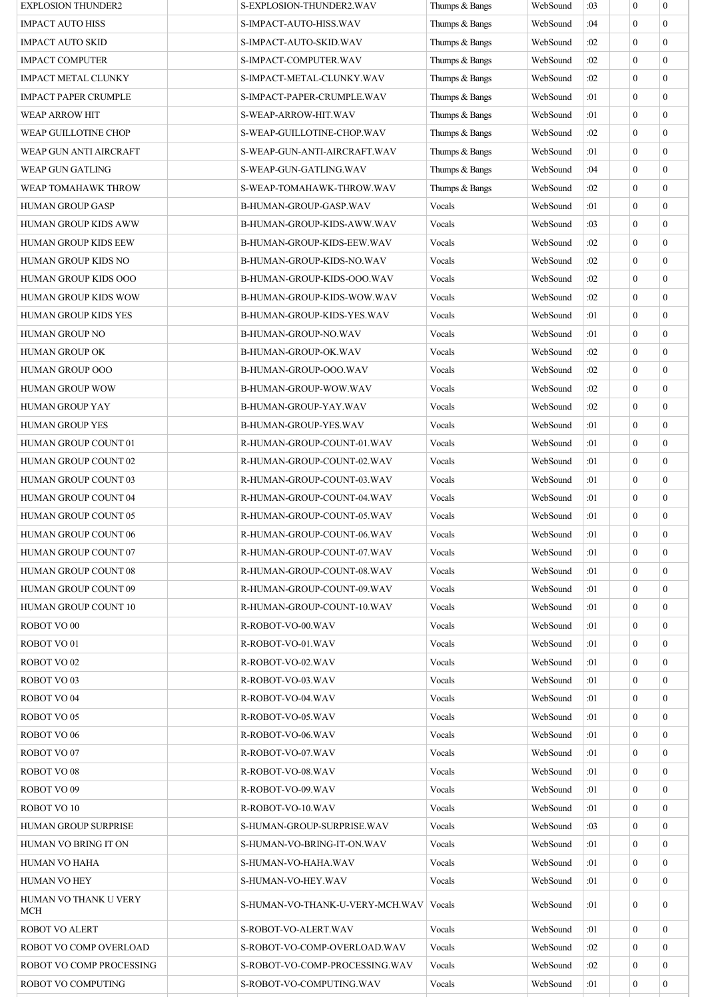| <b>EXPLOSION THUNDER2</b>   | S-EXPLOSION-THUNDER2.WAV        | Thumps & Bangs | WebSound | :03         | $\boldsymbol{0}$ | $\mathbf{0}$   |
|-----------------------------|---------------------------------|----------------|----------|-------------|------------------|----------------|
| <b>IMPACT AUTO HISS</b>     | S-IMPACT-AUTO-HISS.WAV          | Thumps & Bangs | WebSound | :04         | $\mathbf{0}$     | $\overline{0}$ |
| <b>IMPACT AUTO SKID</b>     | S-IMPACT-AUTO-SKID.WAV          | Thumps & Bangs | WebSound | :02         | $\mathbf{0}$     | $\overline{0}$ |
| <b>IMPACT COMPUTER</b>      | S-IMPACT-COMPUTER.WAV           | Thumps & Bangs | WebSound | :02         | $\mathbf{0}$     | $\Omega$       |
| <b>IMPACT METAL CLUNKY</b>  | S-IMPACT-METAL-CLUNKY.WAV       | Thumps & Bangs | WebSound | :02         | $\mathbf{0}$     | $\theta$       |
| <b>IMPACT PAPER CRUMPLE</b> | S-IMPACT-PAPER-CRUMPLE.WAV      | Thumps & Bangs | WebSound | :01         | $\mathbf{0}$     | $\overline{0}$ |
| <b>WEAP ARROW HIT</b>       | S-WEAP-ARROW-HIT.WAV            | Thumps & Bangs | WebSound | :01         | $\mathbf{0}$     | $\overline{0}$ |
| <b>WEAP GUILLOTINE CHOP</b> | S-WEAP-GUILLOTINE-CHOP.WAV      | Thumps & Bangs | WebSound | :02         | $\mathbf{0}$     | $\overline{0}$ |
| WEAP GUN ANTI AIRCRAFT      | S-WEAP-GUN-ANTI-AIRCRAFT.WAV    | Thumps & Bangs | WebSound | :01         | $\mathbf{0}$     | $\overline{0}$ |
| WEAP GUN GATLING            | S-WEAP-GUN-GATLING.WAV          | Thumps & Bangs | WebSound | :04         | $\mathbf{0}$     | $\overline{0}$ |
| WEAP TOMAHAWK THROW         | S-WEAP-TOMAHAWK-THROW.WAV       | Thumps & Bangs | WebSound | :02         | $\mathbf{0}$     | $\overline{0}$ |
| <b>HUMAN GROUP GASP</b>     | B-HUMAN-GROUP-GASP.WAV          | Vocals         | WebSound | :01         | $\theta$         | $\Omega$       |
| <b>HUMAN GROUP KIDS AWW</b> | B-HUMAN-GROUP-KIDS-AWW.WAV      | Vocals         | WebSound | :03         | $\mathbf{0}$     | $\overline{0}$ |
| <b>HUMAN GROUP KIDS EEW</b> | B-HUMAN-GROUP-KIDS-EEW.WAV      | Vocals         | WebSound | :02         | $\mathbf{0}$     | $\overline{0}$ |
| HUMAN GROUP KIDS NO         | B-HUMAN-GROUP-KIDS-NO.WAV       | Vocals         | WebSound | :02         | $\mathbf{0}$     | $\overline{0}$ |
| HUMAN GROUP KIDS OOO        | B-HUMAN-GROUP-KIDS-OOO.WAV      | Vocals         | WebSound | :02         | $\theta$         | $\Omega$       |
| <b>HUMAN GROUP KIDS WOW</b> | B-HUMAN-GROUP-KIDS-WOW.WAV      | Vocals         | WebSound | :02         | $\mathbf{0}$     | $\overline{0}$ |
| HUMAN GROUP KIDS YES        | B-HUMAN-GROUP-KIDS-YES.WAV      | Vocals         | WebSound | :01         | $\mathbf{0}$     | $\overline{0}$ |
| HUMAN GROUP NO              | <b>B-HUMAN-GROUP-NO.WAV</b>     | Vocals         | WebSound | :01         | $\mathbf{0}$     | $\overline{0}$ |
| <b>HUMAN GROUP OK</b>       | B-HUMAN-GROUP-OK.WAV            | Vocals         | WebSound | :02         | $\theta$         | $\Omega$       |
| HUMAN GROUP OOO             | B-HUMAN-GROUP-OOO.WAV           | Vocals         | WebSound | :02         | $\mathbf{0}$     | $\Omega$       |
| <b>HUMAN GROUP WOW</b>      | B-HUMAN-GROUP-WOW.WAV           | Vocals         | WebSound | :02         | $\mathbf{0}$     | $\overline{0}$ |
| <b>HUMAN GROUP YAY</b>      | B-HUMAN-GROUP-YAY.WAV           | Vocals         | WebSound | :02         | $\mathbf{0}$     | $\overline{0}$ |
| <b>HUMAN GROUP YES</b>      | B-HUMAN-GROUP-YES.WAV           | Vocals         | WebSound | :01         | $\mathbf{0}$     | $\Omega$       |
| HUMAN GROUP COUNT 01        | R-HUMAN-GROUP-COUNT-01.WAV      | Vocals         | WebSound | :01         | $\mathbf{0}$     | $\overline{0}$ |
| <b>HUMAN GROUP COUNT 02</b> | R-HUMAN-GROUP-COUNT-02.WAV      | Vocals         | WebSound | :01         | $\mathbf{0}$     | $\overline{0}$ |
| <b>HUMAN GROUP COUNT 03</b> | R-HUMAN-GROUP-COUNT-03.WAV      | Vocals         | WebSound | :01         | $\mathbf{0}$     | $\overline{0}$ |
| HUMAN GROUP COUNT 04        | R-HUMAN-GROUP-COUNT-04.WAV      | Vocals         | WebSound | :01         | $\theta$         | $\Omega$       |
| HUMAN GROUP COUNT 05        | R-HUMAN-GROUP-COUNT-05.WAV      | Vocals         | WebSound | :01         | $\boldsymbol{0}$ | $\overline{0}$ |
| <b>HUMAN GROUP COUNT 06</b> | R-HUMAN-GROUP-COUNT-06.WAV      | Vocals         | WebSound | $\vert$ :01 | $\boldsymbol{0}$ | $\overline{0}$ |
| <b>HUMAN GROUP COUNT 07</b> | R-HUMAN-GROUP-COUNT-07.WAV      | Vocals         | WebSound | :01         | $\Omega$         | $\Omega$       |
| HUMAN GROUP COUNT 08        | R-HUMAN-GROUP-COUNT-08.WAV      | Vocals         | WebSound | :01         | $\theta$         | $\Omega$       |
| HUMAN GROUP COUNT 09        | R-HUMAN-GROUP-COUNT-09.WAV      | Vocals         | WebSound | :01         | $\boldsymbol{0}$ | $\Omega$       |
| HUMAN GROUP COUNT 10        | R-HUMAN-GROUP-COUNT-10.WAV      | Vocals         | WebSound | :01         | $\boldsymbol{0}$ | $\overline{0}$ |
| ROBOT VO <sub>00</sub>      | R-ROBOT-VO-00.WAV               | Vocals         | WebSound | :01         | $\mathbf{0}$     | $\Omega$       |
| ROBOT VO <sub>01</sub>      | R-ROBOT-VO-01.WAV               | Vocals         | WebSound | :01         | $\overline{0}$   | $\Omega$       |
| ROBOT VO <sub>02</sub>      | R-ROBOT-VO-02.WAV               | Vocals         | WebSound | :01         | $\mathbf{0}$     | $\Omega$       |
| ROBOT VO <sub>03</sub>      | R-ROBOT-VO-03.WAV               | Vocals         | WebSound | :01         | $\boldsymbol{0}$ | $\overline{0}$ |
| ROBOT VO <sub>04</sub>      | R-ROBOT-VO-04.WAV               | Vocals         | WebSound | :01         | $\mathbf{0}$     | $\overline{0}$ |
| ROBOT VO 05                 | R-ROBOT-VO-05.WAV               | Vocals         | WebSound | :01         | $\overline{0}$   | $\Omega$       |
| ROBOT VO <sub>06</sub>      | R-ROBOT-VO-06.WAV               | Vocals         | WebSound | :01         | $\overline{0}$   | $\Omega$       |
| ROBOT VO <sub>07</sub>      | R-ROBOT-VO-07.WAV               | Vocals         | WebSound | :01         | $\mathbf{0}$     | $\overline{0}$ |
| ROBOT VO <sub>08</sub>      | R-ROBOT-VO-08.WAV               | Vocals         | WebSound | :01         | $\boldsymbol{0}$ | $\Omega$       |
| ROBOT VO <sub>09</sub>      | R-ROBOT-VO-09.WAV               | Vocals         | WebSound | :01         | $\theta$         | $\Omega$       |
| ROBOT VO <sub>10</sub>      | R-ROBOT-VO-10.WAV               | Vocals         | WebSound | :01         | $\mathbf{0}$     | $\Omega$       |
| <b>HUMAN GROUP SURPRISE</b> | S-HUMAN-GROUP-SURPRISE.WAV      | Vocals         | WebSound | :03         | $\mathbf{0}$     | $\overline{0}$ |
| HUMAN VO BRING IT ON        | S-HUMAN-VO-BRING-IT-ON.WAV      | Vocals         | WebSound | :01         | $\overline{0}$   | $\Omega$       |
| HUMAN VO HAHA               | S-HUMAN-VO-HAHA.WAV             | Vocals         | WebSound | :01         | $\mathbf{0}$     | $\Omega$       |
| <b>HUMAN VO HEY</b>         | S-HUMAN-VO-HEY.WAV              | Vocals         | WebSound |             | $\boldsymbol{0}$ | $\overline{0}$ |
| HUMAN VO THANK U VERY       |                                 |                |          | :01         |                  |                |
| <b>MCH</b>                  | S-HUMAN-VO-THANK-U-VERY-MCH.WAV | Vocals         | WebSound | :01         | $\overline{0}$   | $\overline{0}$ |
| <b>ROBOT VO ALERT</b>       | S-ROBOT-VO-ALERT.WAV            | Vocals         | WebSound | :01         | $\mathbf{0}$     | $\Omega$       |
| ROBOT VO COMP OVERLOAD      | S-ROBOT-VO-COMP-OVERLOAD.WAV    | Vocals         | WebSound | :02         | $\overline{0}$   | $\Omega$       |
| ROBOT VO COMP PROCESSING    | S-ROBOT-VO-COMP-PROCESSING.WAV  | Vocals         | WebSound | :02         | $\boldsymbol{0}$ | $\overline{0}$ |
| ROBOT VO COMPUTING          | S-ROBOT-VO-COMPUTING.WAV        | Vocals         | WebSound | :01         | $\boldsymbol{0}$ | $\overline{0}$ |